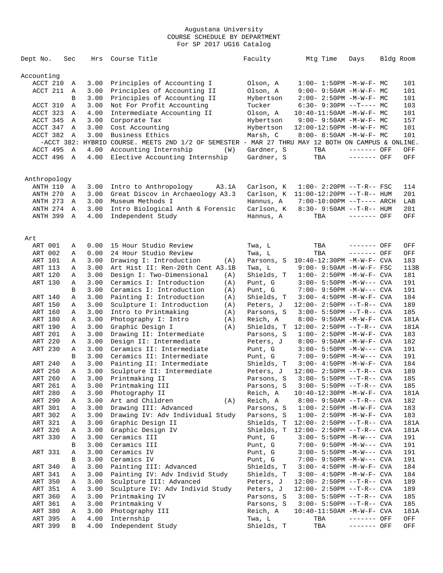| Dept No.     | Sec | Hrs  | Course Title                                                                                      | Faculty    | Mtg Time                             | Days         | Bldg Room |
|--------------|-----|------|---------------------------------------------------------------------------------------------------|------------|--------------------------------------|--------------|-----------|
|              |     |      |                                                                                                   |            |                                      |              |           |
| Accounting   |     |      |                                                                                                   |            |                                      |              |           |
| ACCT 210     |     | 3.00 | Principles of Accounting I                                                                        | Olson, A   | $1:00 - 1:50PM - M - W - F - MC$     |              | 101       |
|              | Α   |      |                                                                                                   |            |                                      |              |           |
| ACCT 211     | A   | 3.00 | Principles of Accounting II                                                                       | Olson, A   | $9:00 - 9:50AM - M - W - F - MC$     |              | 101       |
|              | B   | 3.00 | Principles of Accounting II                                                                       | Hybertson  | $2:00-2:50PM -M-W-F-MC$              |              | 101       |
| ACCT 310     | Α   | 3.00 | Not For Profit Accounting                                                                         | Tucker     | $6:30-9:30PM -T--- MC$               |              | 103       |
| ACCT 323     | Α   | 4.00 | Intermediate Accounting II                                                                        | Olson, A   | $10:40-11:50AM$ -M-W-F- MC           |              | 101       |
| ACCT 345     | A   | 3.00 | Corporate Tax                                                                                     | Hybertson  | $9:00 - 9:50AM - M - W - F - MC$     |              | 157       |
| ACCT 347     | A   | 3.00 | Cost Accounting                                                                                   | Hybertson  | 12:00-12:50PM -M-W-F- MC             |              | 101       |
| ACCT 382     | A   | 3.00 | Business Ethics                                                                                   | Marsh, C   | 8:00- 8:50AM -M-W-F- MC              |              | 101       |
|              |     |      | -ACCT 382: HYBRID COURSE. MEETS 2ND 1/2 OF SEMESTER - MAR 27 THRU MAY 12 BOTH ON CAMPUS & ONLINE. |            |                                      |              |           |
| ACCT 495 A   |     | 4.00 | Accounting Internship<br>(W)                                                                      | Gardner, S | TBA                                  | $------$ OFF | OFF       |
| ACCT 496 A   |     | 4.00 | Elective Accounting Internship                                                                    | Gardner, S | TBA                                  | ------- OFF  | OFF       |
|              |     |      |                                                                                                   |            |                                      |              |           |
|              |     |      |                                                                                                   |            |                                      |              |           |
| Anthropology |     |      |                                                                                                   |            |                                      |              |           |
| ANTH 110 A   |     | 3.00 | Intro to Anthropology<br>A3.1A                                                                    | Carlson, K | $1:00 - 2:20PM -T-R--FSC$            |              | 114       |
| ANTH 270     |     | 3.00 | Great Discov in Archaeology A3.3                                                                  |            | Carlson, K 11:00-12:20PM --T-R-- HUM |              | 201       |
|              | A   | 3.00 |                                                                                                   |            |                                      |              |           |
| ANTH 273     | A   |      | Museum Methods I                                                                                  | Hannus, A  | 7:00-10:00PM --T---- ARCH            |              | LAB       |
| ANTH 274     | A   | 3.00 | Intro Biological Anth & Forensic                                                                  | Carlson, K | $8:30 - 9:50AM -T-R-- HUM$           |              | 201       |
| ANTH 399 A   |     | 4.00 | Independent Study                                                                                 | Hannus, A  | TBA                                  | $------$ OFF | OFF       |
|              |     |      |                                                                                                   |            |                                      |              |           |
|              |     |      |                                                                                                   |            |                                      |              |           |
| Art          |     |      |                                                                                                   |            |                                      |              |           |
| ART 001      | Α   |      | 0.00 15 Hour Studio Review                                                                        | Twa, L     | TBA                                  | ------- OFF  | OFF       |
| ART 002      | Α   | 0.00 | 24 Hour Studio Review                                                                             | Twa, L     | TBA                                  | ------- OFF  | OFF       |
| ART 101      | Α   | 3.00 | Drawing I: Introduction<br>(A)                                                                    | Parsons, S | $10:40-12:30PM -M-W-F-CVA$           |              | 183       |
| ART 113      | Α   | 3.00 | Art Hist II: Ren-20th Cent A3.1B                                                                  | Twa, L     | $9:00 - 9:50AM - M-W-F - FSC$        |              | 113B      |
| ART 120      | Α   | 3.00 | Design I: Two-Dimensional<br>(A)                                                                  | Shields, T | $1:00-2:50PM -M-W-F-CVA$             |              | 181       |
| ART 130      | Α   | 3.00 | Ceramics I: Introduction<br>(A)                                                                   | Punt, G    | $3:00 - 5:50PM -M-W---$ CVA          |              | 191       |
|              | В   | 3.00 | Ceramics I: Introduction<br>(A)                                                                   | Punt, G    | $7:00-9:50PM -M-W---$ CVA            |              | 191       |
|              |     | 3.00 | Painting I: Introduction                                                                          |            |                                      |              | 184       |
| ART 140      | Α   |      | (A)                                                                                               | Shields, T | 3:00- 4:50PM -M-W-F- CVA             |              |           |
| ART 150      | Α   | 3.00 | Sculpture I: Introduction<br>(A)                                                                  | Peters, J  | $12:00 - 2:50PM -T-R--CVA$           |              | 189       |
| ART 160      | Α   | 3.00 | Intro to Printmaking<br>(A)                                                                       | Parsons, S | $3:00 - 5:50PM -T-R--CVA$            |              | 185       |
| ART 180      | Α   | 3.00 | Photography I: Intro<br>(A)                                                                       | Reich, A   | 8:00- 9:50AM -M-W-F- CVA             |              | 181A      |
| ART 190      | Α   | 3.00 | Graphic Design I<br>(A)                                                                           | Shields, T | $12:00 - 2:50PM -T-R--CVA$           |              | 181A      |
| ART 201      | Α   | 3.00 | Drawing II: Intermediate                                                                          | Parsons, S | $1:00 - 2:50PM -M-W-F - CVA$         |              | 183       |
| ART 220      | Α   | 3.00 | Design II: Intermediate                                                                           | Peters, J  | 8:00- 9:50AM -M-W-F- CVA             |              | 182       |
| ART 230      | Α   | 3.00 | Ceramics II: Intermediate                                                                         | Punt, G    | $3:00 - 5:50PM -M-W---$ CVA          |              | 191       |
|              | В   | 3.00 | Ceramics II: Intermediate                                                                         | Punt, G    | 7:00- 9:50PM -M-W--- CVA             |              | 191       |
| ART 240      | Α   | 3.00 | Painting II: Intermediate                                                                         | Shields, T | $3:00 - 4:50PM - M - W - F - CVA$    |              | 184       |
| ART 250      | Α   | 3.00 | Sculpture II: Intermediate                                                                        | Peters, J  | $12:00 - 2:50PM -T-R--CVA$           |              | 189       |
| ART 260      | Α   | 3.00 | Printmaking II                                                                                    | Parsons, S | $3:00 - 5:50PM -T-R--CVA$            |              | 185       |
| ART 261      | Α   | 3.00 | Printmaking III                                                                                   | Parsons, S | $3:00 - 5:50PM -T-R--$ CVA           |              | 185       |
| ART 280      | Α   |      | 3.00 Photography II                                                                               | Reich, A   | $10:40-12:30PM$ -M-W-F- CVA          |              | 181A      |
| ART 290      | Α   | 3.00 | Art and Children<br>(A)                                                                           | Reich, A   | $8:00 - 9:50AM -T-R--CVA$            |              | 182       |
| ART 301      | Α   | 3.00 | Drawing III: Advanced                                                                             | Parsons, S | $1:00-2:50PM -M-W-F-CVA$             |              | 183       |
| ART 302      |     | 3.00 | Drawing IV: Adv Individual Study                                                                  | Parsons, S | $1:00-2:50PM -M-W-F-CVA$             |              | 183       |
|              | Α   |      |                                                                                                   |            |                                      |              |           |
| ART 321      | Α   | 3.00 | Graphic Design II                                                                                 | Shields, T | $12:00 - 2:50PM -T-R--CVA$           |              | 181A      |
| ART 326      | Α   | 3.00 | Graphic Design IV                                                                                 | Shields, T | $12:00 - 2:50PM -T-R--CVA$           |              | 181A      |
| ART 330      | Α   | 3.00 | Ceramics III                                                                                      | Punt, G    | $3:00 - 5:50PM -M-W---$ CVA          |              | 191       |
|              | В   | 3.00 | Ceramics III                                                                                      | Punt, G    | 7:00- 9:50PM -M-W--- CVA             |              | 191       |
| ART 331      | Α   | 3.00 | Ceramics IV                                                                                       | Punt, G    | $3:00 - 5:50PM -M-W---$ CVA          |              | 191       |
|              | В   | 3.00 | Ceramics IV                                                                                       | Punt, G    | $7:00-9:50PM -M-W---$ CVA            |              | 191       |
| ART 340      | Α   | 3.00 | Painting III: Advanced                                                                            | Shields, T | $3:00 - 4:50PM - M - W - F - CVA$    |              | 184       |
| ART 341      | Α   | 3.00 | Painting IV: Adv Individ Study                                                                    | Shields, T | $3:00-4:50PM -M-W-F-CVA$             |              | 184       |
| ART 350      | Α   | 3.00 | Sculpture III: Advanced                                                                           | Peters, J  | $12:00 - 2:50PM -T-R--CVA$           |              | 189       |
| ART 351      | Α   | 3.00 | Sculpture IV: Adv Individ Study                                                                   | Peters, J  | $12:00 - 2:50PM -T-R--CVA$           |              | 189       |
| ART 360      | Α   | 3.00 | Printmaking IV                                                                                    | Parsons, S | $3:00 - 5:50PM -T-R--CVA$            |              | 185       |
| ART 361      | Α   | 3.00 | Printmaking V                                                                                     | Parsons, S | $3:00 - 5:50PM -T-R--CVA$            |              | 185       |
| ART 380      | Α   | 3.00 | Photography III                                                                                   | Reich, A   | $10:40-11:50AM$ -M-W-F- CVA          |              | 181A      |
| ART 395      | Α   | 4.00 | Internship                                                                                        | Twa, L     | TBA                                  | ------- OFF  | OFF       |
|              |     |      |                                                                                                   |            |                                      |              |           |
| ART 399      | В   | 4.00 | Independent Study                                                                                 | Shields, T | TBA                                  | ------- OFF  | OFF       |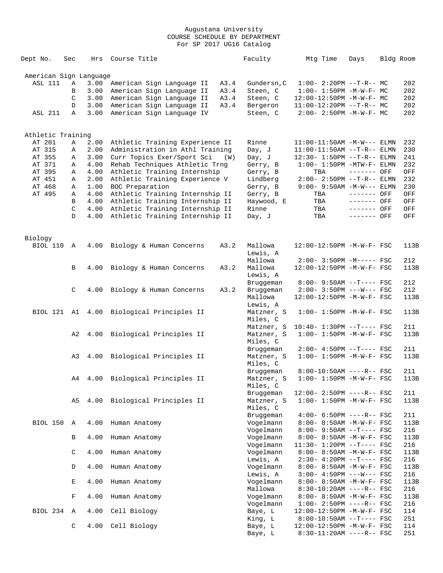| Dept No.               | Sec          | Hrs  | Course Title                              |      | Faculty                 | Mtg Time                          | Days        | Bldg Room   |
|------------------------|--------------|------|-------------------------------------------|------|-------------------------|-----------------------------------|-------------|-------------|
| American Sign Language |              |      |                                           |      |                         |                                   |             |             |
| ASL 111                | Α            | 3.00 | American Sign Language II                 | A3.4 | Gundersn, C             | $1:00-2:20PM -T-R--MC$            |             | 202         |
|                        | B            | 3.00 | American Sign Language II                 | A3.4 | Steen, C                | $1:00 - 1:50PM -M-W-F - MC$       |             | 202         |
|                        | C            | 3.00 | American Sign Language II                 | A3.4 | Steen, C                | 12:00-12:50PM -M-W-F- MC          |             | 202         |
|                        | D            | 3.00 | American Sign Language II                 | A3.4 | Bergeron                | $11:00-12:20PM$ --T-R-- MC        |             | 202         |
| <b>ASL 211</b>         | $\mathbb{A}$ | 3.00 | American Sign Language IV                 |      | Steen, C                | $2:00-2:50PM -M-W-F-MC$           |             | 202         |
|                        |              |      |                                           |      |                         |                                   |             |             |
| Athletic Training      |              |      |                                           |      |                         |                                   |             |             |
| AT 201                 | Α            | 2.00 | Athletic Training Experience II           |      | Rinne                   | $11:00-11:50AM -M-W---$ ELMN      |             | 232         |
| AT 315                 | Α            | 2.00 | Administration in Athl Training           |      | Day, J                  | $11:00-11:50AM$ --T-R-- ELMN      |             | 230         |
| AT 355                 | Α            | 3.00 | Curr Topics Exer/Sport Sci                | (W)  | Day, J                  | 12:30- 1:50PM --T-R-- ELMN        |             | 241         |
| AT 371                 | Α            | 4.00 | Rehab Techniques Athletic Trng            |      | Gerry, B                | $1:00 - 1:50PM - MTW - F - ELMN$  |             | 232         |
| AT 395                 | Α            | 4.00 | Athletic Training Internship              |      | Gerry, B                | TBA                               | ------- OFF | OFF         |
| AT 451                 | Α            | 2.00 | Athletic Training Experience V            |      | Lindberg                | $2:00 - 2:50PM -T-R-- ELMN$       |             | 232         |
| AT 468                 | Α            | 1.00 | BOC Preparation                           |      | Gerry, B                | $9:00 - 9:50AM -M-W---$ ELMN      |             | 230         |
| AT 495                 | Α            | 4.00 | Athletic Training Internship II           |      | Gerry, B                | TBA                               | ------- OFF | OFF         |
|                        | В            | 4.00 | Athletic Training Internship II           |      | Haywood, E              | TBA                               | ------- OFF | OFF         |
|                        | C            | 4.00 | Athletic Training Internship II           |      | Rinne                   | TBA                               | ------- OFF | OFF         |
|                        | D            | 4.00 | Athletic Training Internship II           |      | Day, J                  | TBA                               | ------- OFF | OFF         |
|                        |              |      |                                           |      |                         |                                   |             |             |
| Biology<br>BIOL 110    | A            | 4.00 | Biology & Human Concerns                  | A3.2 | Mallowa                 | 12:00-12:50PM -M-W-F- FSC         |             | 113B        |
|                        |              |      |                                           |      | Lewis, A                |                                   |             |             |
|                        |              |      |                                           |      | Mallowa                 | $2:00-3:50PM -M---FSC$            |             | 212         |
|                        | B            | 4.00 | Biology & Human Concerns                  | A3.2 | Mallowa                 | 12:00-12:50PM -M-W-F- FSC         |             | 113B        |
|                        |              |      |                                           |      | Lewis, A                |                                   |             |             |
|                        |              |      |                                           |      | Bruggeman               | $8:00 - 9:50AM -T--- FSC$         |             | 212         |
|                        | C            | 4.00 | Biology & Human Concerns                  | A3.2 | Bruggeman               | $2:00 - 3:50PM$ ---W--- FSC       |             | 212         |
|                        |              |      |                                           |      | Mallowa                 | 12:00-12:50PM -M-W-F- FSC         |             | 113B        |
|                        |              |      |                                           |      | Lewis, A                |                                   |             |             |
|                        |              |      | BIOL 121 A1 4.00 Biological Principles II |      | Matzner, S              | $1:00 - 1:50PM - M - W - F - FSC$ |             | 113B        |
|                        |              |      |                                           |      | Miles, C                |                                   |             |             |
|                        |              |      |                                           |      | Matzner, S              | $10:40 - 1:30PM$ --T---- FSC      |             | 211         |
|                        | A2           | 4.00 | Biological Principles II                  |      | Matzner, S              | $1:00 - 1:50PM - M - W - F - FSC$ |             | 113B        |
|                        |              |      |                                           |      | Miles, C                |                                   |             |             |
|                        |              |      |                                           |      | Bruggeman               | $2:00-4:50PM -T---FSC$            |             | 211<br>113B |
|                        | A3           | 4.00 | Biological Principles II                  |      | Matzner, S<br>Miles, C  | $1:00 - 1:50PM - M - W - F - FSC$ |             |             |
|                        |              |      |                                           |      |                         | $8:00-10:50AM$ ----R-- FSC        |             | 211         |
|                        | A4           | 4.00 | Biological Principles II                  |      | Bruggeman<br>Matzner, S | $1:00 - 1:50PM - M - W - F - FSC$ |             | 113B        |
|                        |              |      |                                           |      | Miles, C                |                                   |             |             |
|                        |              |      |                                           |      | Bruggeman               | 12:00- 2:50PM ----R-- FSC         |             | 211         |
|                        | A5           | 4.00 | Biological Principles II                  |      | Matzner, S              | $1:00 - 1:50PM - M - W - F - FSC$ |             | 113B        |
|                        |              |      |                                           |      | Miles, C                |                                   |             |             |
|                        |              |      |                                           |      | Bruggeman               | $4:00-6:50PM$ ----R-- FSC         |             | 211         |
| BIOL 150               | Α            | 4.00 | Human Anatomy                             |      | Vogelmann               | 8:00- 8:50AM -M-W-F- FSC          |             | 113B        |
|                        |              |      |                                           |      | Vogelmann               | $8:00 - 9:50AM -T--- FSC$         |             | 216         |
|                        | В            | 4.00 | Human Anatomy                             |      | Vogelmann               | 8:00- 8:50AM -M-W-F- FSC          |             | 113B        |
|                        |              |      |                                           |      | Vogelmann               | 11:30- 1:20PM --T---- FSC         |             | 216         |
|                        | C            | 4.00 | Human Anatomy                             |      | Vogelmann               | 8:00- 8:50AM -M-W-F- FSC          |             | 113B        |
|                        |              |      |                                           |      | Lewis, A                | $2:30-4:20PM -T---FSC$            |             | 216         |
|                        | $\mathbb D$  | 4.00 | Human Anatomy                             |      | Vogelmann               | 8:00- 8:50AM -M-W-F- FSC          |             | 113B        |
|                        |              |      |                                           |      | Lewis, A                | $3:00-4:50PM$ ---W--- FSC         |             | 216         |
|                        | Е            | 4.00 | Human Anatomy                             |      | Vogelmann               | 8:00- 8:50AM -M-W-F- FSC          |             | 113B        |
|                        |              |      |                                           |      | Mallowa                 | $8:30-10:20AM$ ----R-- FSC        |             | 216         |
|                        | $\mathbf F$  | 4.00 | Human Anatomy                             |      | Vogelmann               | 8:00- 8:50AM -M-W-F- FSC          |             | 113B        |
|                        |              |      |                                           |      | Vogelmann               | $1:00-2:50PM$ ----R-- FSC         |             | 216         |
| BIOL 234               | Α            | 4.00 | Cell Biology                              |      | Baye, L                 | $12:00-12:50PM -M-W-F- FSC$       |             | 114         |
|                        |              |      |                                           |      | King, L                 | $8:00-10:50AM$ --T---- FSC        |             | 251         |
|                        | C            | 4.00 | Cell Biology                              |      | Baye, L                 | 12:00-12:50PM -M-W-F- FSC         |             | 114         |
|                        |              |      |                                           |      | Baye, L                 | $8:30-11:20AM$ ----R-- FSC        |             | 251         |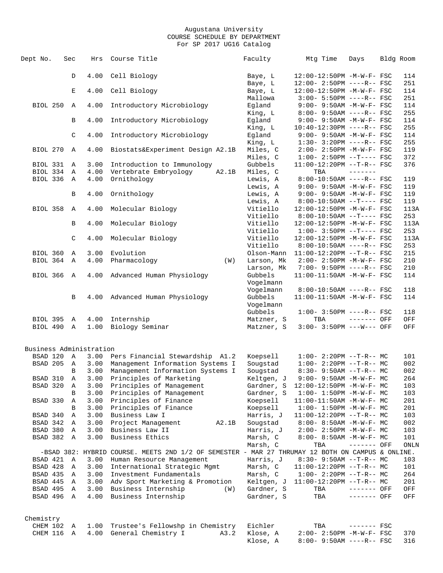| Dept No.   | Sec            | Hrs                     | Course Title                                                                                     | Faculty    | Mtg Time                            | Days         | Bldg Room |
|------------|----------------|-------------------------|--------------------------------------------------------------------------------------------------|------------|-------------------------------------|--------------|-----------|
|            | D              | 4.00                    | Cell Biology                                                                                     | Baye, L    | 12:00-12:50PM -M-W-F- FSC           |              | 114       |
|            |                |                         |                                                                                                  | Baye, L    | 12:00- 2:50PM ----R-- FSC           |              | 251       |
|            | Е              | 4.00                    | Cell Biology                                                                                     | Baye, L    | 12:00-12:50PM -M-W-F- FSC           |              | 114       |
|            |                |                         |                                                                                                  | Mallowa    | $3:00 - 5:50PM$ ----R-- FSC         |              | 251       |
| BIOL 250   | A              | 4.00                    | Introductory Microbiology                                                                        | Eqland     | 9:00- 9:50AM -M-W-F- FSC            |              | 114       |
|            |                |                         |                                                                                                  | King, L    | $8:00 - 9:50AM$ ----R-- FSC         |              | 255       |
|            | B              | 4.00                    | Introductory Microbiology                                                                        | Egland     | $9:00 - 9:50AM - M - W - F - FSC$   |              | 114       |
|            |                |                         |                                                                                                  | King, L    | $10:40-12:30PM$ ----R-- FSC         |              | 255       |
|            | C              | 4.00                    | Introductory Microbiology                                                                        | Eqland     | 9:00- 9:50AM -M-W-F- FSC            |              | 114       |
|            |                |                         |                                                                                                  | King, L    | $1:30-3:20PM$ ----R-- FSC           |              | 255       |
| BIOL 270   | A              | 4.00                    | Biostats&Experiment Design A2.1B                                                                 | Miles, C   | $2:00 - 2:50PM -M-W-F - FSC$        |              | 119       |
|            |                |                         |                                                                                                  | Miles, C   | $1:00-2:50PM -T---FSC$              |              | 372       |
| BIOL 331   |                | 3.00                    |                                                                                                  | Gubbels    |                                     |              | 376       |
|            | A              |                         | Introduction to Immunology                                                                       |            | $11:00-12:20PM$ --T-R-- FSC         |              |           |
| BIOL 334   | $\overline{A}$ | 4.00                    | Vertebrate Embryology<br>A2.1B                                                                   | Miles, C   | TBA                                 |              |           |
| BIOL 336 A |                | 4.00                    | Ornithology                                                                                      | Lewis, A   | $8:00-10:50AM$ ----R-- FSC          |              | 119       |
|            |                |                         |                                                                                                  | Lewis, A   | 9:00- 9:50AM -M-W-F- FSC            |              | 119       |
|            | В              | 4.00                    | Ornithology                                                                                      | Lewis, A   | $9:00 - 9:50AM - M - W - F - FSC$   |              | 119       |
|            |                |                         |                                                                                                  | Lewis, A   | $8:00-10:50AM$ --T---- FSC          |              | 119       |
| BIOL 358   | $\mathbb{A}$   | 4.00                    | Molecular Biology                                                                                | Vitiello   | 12:00-12:50PM -M-W-F- FSC           |              | 113A      |
|            |                |                         |                                                                                                  | Vitiello   | $8:00-10:50AM$ --T---- FSC          |              | 253       |
|            | B              | 4.00                    | Molecular Biology                                                                                | Vitiello   | 12:00-12:50PM -M-W-F- FSC           |              | 113A      |
|            |                |                         |                                                                                                  | Vitiello   | $1:00-3:50PM --T---FSC$             |              | 253       |
|            | C              | 4.00                    | Molecular Biology                                                                                | Vitiello   | 12:00-12:50PM -M-W-F- FSC           |              | 113A      |
|            |                |                         |                                                                                                  | Vitiello   | $8:00-10:50AM$ ----R-- FSC          |              | 253       |
| BIOL 360   | Α              | 3.00                    | Evolution                                                                                        | Olson-Mann | 11:00-12:20PM --T-R-- FSC           |              | 215       |
| BIOL 364 A |                | 4.00                    | Pharmacology<br>(W)                                                                              | Larson, Mk | $2:00 - 2:50PM -M-W-F - FSC$        |              | 210       |
|            |                |                         |                                                                                                  | Larson, Mk | $7:00 - 9:50PM$ ----R-- FSC         |              | 210       |
| BIOL 366   | $\mathbf{A}$   | 4.00                    | Advanced Human Physiology                                                                        | Gubbels    | 11:00-11:50AM -M-W-F- FSC           |              | 114       |
|            |                |                         |                                                                                                  | Vogelmann  |                                     |              |           |
|            |                |                         |                                                                                                  | Vogelmann  | $8:00-10:50AM$ ----R-- FSC          |              | 118       |
|            | B              | 4.00                    | Advanced Human Physiology                                                                        | Gubbels    | 11:00-11:50AM -M-W-F- FSC           |              | 114       |
|            |                |                         |                                                                                                  | Vogelmann  |                                     |              |           |
|            |                |                         |                                                                                                  | Gubbels    | $1:00-3:50PM$ ----R-- FSC           |              | 118       |
| BIOL 395 A |                | 4.00                    | Internship                                                                                       | Matzner, S | TBA                                 | ------- OFF  | OFF       |
| BIOL 490 A |                | 1.00                    | Biology Seminar                                                                                  | Matzner, S | 3:00- 3:50PM ---W--- OFF            |              | OFF       |
|            |                |                         |                                                                                                  |            |                                     |              |           |
|            |                | Business Administration |                                                                                                  |            |                                     |              |           |
| BSAD 120   |                |                         |                                                                                                  |            | $1:00-2:20PM -T-R--MC$              |              |           |
|            | A              | 3.00                    | Pers Financial Stewardship A1.2                                                                  | Koepsell   |                                     |              | 101       |
| BSAD 205   | $\mathbf{A}$   | 3.00                    | Management Information Systems I                                                                 | Sougstad   | $1:00-2:20PM -T-R--MC$              |              | 002       |
|            | B              | 3.00                    | Management Information Systems I                                                                 | Sougstad   | $8:30 - 9:50AM -T-R--MC$            |              | 002       |
| BSAD 310   | Α              | 3.00                    | Principles of Marketing                                                                          | Keltgen, J | $9:00 - 9:50AM - M - W - F - MC$    |              | 264       |
| BSAD 320   | A              | 3.00                    | Principles of Management                                                                         | Gardner, S | $12:00-12:50PM -M-W-F-MC$           |              | 103       |
|            | В              | 3.00                    | Principles of Management                                                                         | Gardner, S | $1:00 - 1:50PM - M - W - F - MC$    |              | 103       |
| BSAD 330   | Α              | 3.00                    | Principles of Finance                                                                            | Koepsell   | $11:00-11:50AM$ -M-W-F- MC          |              | 201       |
|            | В              | 3.00                    | Principles of Finance                                                                            | Koepsell   | $1:00 - 1:50PM - M - W - F - MC$    |              | 201       |
| BSAD 340   | Α              | 3.00                    | Business Law I                                                                                   | Harris, J  | $11:00-12:20PM$ --T-R-- MC          |              | 103       |
| BSAD 342 A |                | 3.00                    | Project Management<br>A2.1B                                                                      | Sougstad   | $8:00 - 8:50AM$ -M-W-F- MC          |              | 002       |
| BSAD 380 A |                | 3.00                    | Business Law II                                                                                  | Harris, J  | $2:00-2:50PM -M-W-F-MC$             |              | 103       |
| BSAD 382 A |                | 3.00                    | Business Ethics                                                                                  | Marsh, C   | $8:00 - 8:50AM$ -M-W-F- MC          |              | 101       |
|            |                |                         |                                                                                                  | Marsh, C   | TBA                                 | ------- OFF  | ONLN      |
|            |                |                         | -BSAD 382: HYBRID COURSE. MEETS 2ND 1/2 OF SEMESTER - MAR 27 THRUMAY 12 BOTH ON CAMPUS & ONLINE. |            |                                     |              |           |
| BSAD 421   | A              | 3.00                    | Human Resource Management                                                                        | Harris, J  | $8:30 - 9:50AM -T-R-- MC$           |              | 103       |
| BSAD 428   | A              | 3.00                    | International Strategic Mgmt                                                                     | Marsh, C   | $11:00-12:20PM$ --T-R-- MC          |              | 101       |
| BSAD 435   | A              | 3.00                    | Investment Fundamentals                                                                          | Marsh, C   | $1:00-2:20PM -T-R--MC$              |              | 264       |
| BSAD 445 A |                | 3.00                    | Adv Sport Marketing & Promotion                                                                  |            | Keltgen, J 11:00-12:20PM --T-R-- MC |              | 201       |
| BSAD 495 A |                | 3.00                    | Business Internship<br>(W)                                                                       | Gardner, S | TBA                                 | ------- OFF  | OFF       |
| BSAD 496 A |                | 4.00                    | Business Internship                                                                              | Gardner, S | TBA                                 | ------- OFF  | OFF       |
|            |                |                         |                                                                                                  |            |                                     |              |           |
| Chemistry  |                |                         |                                                                                                  |            |                                     |              |           |
| CHEM 102   | A              | 1.00                    | Trustee's Fellowshp in Chemistry                                                                 | Eichler    | TBA                                 | $------$ FSC |           |
|            |                |                         |                                                                                                  |            |                                     |              |           |
| CHEM 116 A |                |                         | 4.00 General Chemistry I<br>A3.2                                                                 | Klose, A   | 2:00- 2:50PM -M-W-F- FSC            |              | 370       |
|            |                |                         |                                                                                                  | Klose, A   | $8:00 - 9:50AM$ ----R-- FSC         |              | 316       |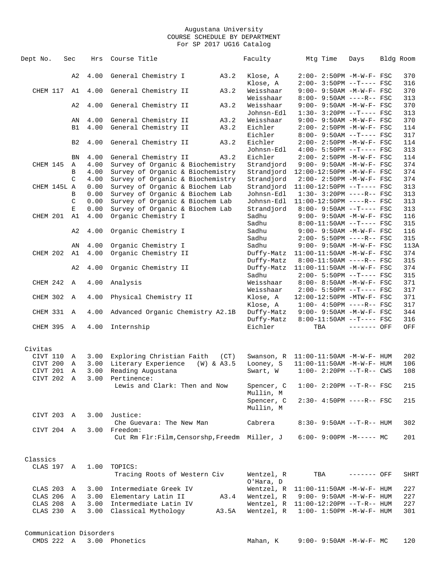| Dept No.    | Sec            | Hrs  | Course Title                                  |                | Faculty                 | Mtg Time                             | Days         | Bldg Room |
|-------------|----------------|------|-----------------------------------------------|----------------|-------------------------|--------------------------------------|--------------|-----------|
|             | A <sub>2</sub> | 4.00 | General Chemistry I                           | A3.2           | Klose, A                | 2:00- 2:50PM -M-W-F- FSC             |              | 370       |
|             |                |      |                                               |                | Klose, A                | $2:00-3:50PM$ --T---- FSC            |              | 316       |
| CHEM 117    | A1             | 4.00 | General Chemistry II                          | A3.2           | Weisshaar               | $9:00 - 9:50AM - M-W-F - FSC$        |              | 370       |
|             |                |      |                                               |                | Weisshaar               | $8:00 - 9:50AM$ ----R-- FSC          |              | 313       |
|             | A2             | 4.00 | General Chemistry II                          | A3.2           | Weisshaar               | 9:00- 9:50AM -M-W-F- FSC             |              | 370       |
|             |                |      |                                               |                | Johnsn-Edl              | $1:30-3:20PM --T---FSC$              |              | 313       |
|             | ΑN             | 4.00 | General Chemistry II                          | A3.2           | Weisshaar               | 9:00- 9:50AM -M-W-F- FSC             |              | 370       |
|             | <b>B1</b>      | 4.00 | General Chemistry II                          | A3.2           | Eichler                 | $2:00 - 2:50PM -M-W-F - FSC$         |              | 114       |
|             |                |      |                                               |                | Eichler                 | 8:00- 9:50AM --T---- FSC             |              | 317       |
|             | B <sub>2</sub> | 4.00 | General Chemistry II                          | A3.2           | Eichler                 | 2:00- 2:50PM -M-W-F- FSC             |              | 114       |
|             |                |      |                                               |                | Johnsn-Edl              | $4:00 - 5:50PM$ --T---- FSC          |              | 313       |
|             | <b>BN</b>      | 4.00 | General Chemistry II                          | A3.2           | Eichler                 | 2:00- 2:50PM -M-W-F- FSC             |              | 114       |
| CHEM 145    | Α              | 4.00 | Survey of Organic & Biochemistry              |                | Strandjord              | 9:00- 9:50AM -M-W-F- FSC             |              | 374       |
|             | B              | 4.00 | Survey of Organic & Biochemistry              |                | Strandjord              | 12:00-12:50PM -M-W-F- FSC            |              | 374       |
|             | C              | 4.00 | Survey of Organic & Biochemistry              |                | Strandjord              | 2:00- 2:50PM -M-W-F- FSC             |              | 374       |
| CHEM 145L A |                | 0.00 | Survey of Organic & Biochem Lab               |                | Strandjord              | 11:00-12:50PM --T---- FSC            |              | 313       |
|             | B              | 0.00 | Survey of Organic & Biochem Lab               |                | Johnsn-Edl              | $1:30-3:20PM$ ----R-- FSC            |              | 313       |
|             | C              | 0.00 | Survey of Organic & Biochem Lab               |                | Johnsn-Edl              | $11:00-12:50PM$ ----R-- FSC          |              | 313       |
|             | $\mathbf{E}$   | 0.00 | Survey of Organic & Biochem Lab               |                | Strandjord              | $8:00 - 9:50AM$ --T---- FSC          |              | 313       |
| CHEM 201    | A1             | 4.00 | Organic Chemistry I                           |                | Sadhu                   | $9:00 - 9:50AM - M-W-F - FSC$        |              | 116       |
|             |                |      |                                               |                | Sadhu                   | $8:00-11:50AM$ --T---- FSC           |              | 315       |
|             | A2             | 4.00 | Organic Chemistry I                           |                | Sadhu                   | 9:00- 9:50AM -M-W-F- FSC             |              | 116       |
|             |                |      |                                               |                | Sadhu                   | 2:00- 5:50PM ----R-- FSC             |              | 315       |
|             | ΑN             | 4.00 | Organic Chemistry I                           |                | Sadhu                   | 9:00- 9:50AM -M-W-F- FSC             |              | 113A      |
| CHEM 202    | A1             | 4.00 | Organic Chemistry II                          |                | Duffy-Matz              | 11:00-11:50AM -M-W-F- FSC            |              | 374       |
|             |                |      |                                               |                | Duffy-Matz              | $8:00-11:50AM$ ----R-- FSC           |              | 315       |
|             | A2             | 4.00 | Organic Chemistry II                          |                | Duffy-Matz              | 11:00-11:50AM -M-W-F- FSC            |              | 374       |
|             |                |      |                                               |                | Sadhu                   | $2:00 - 5:50PM -T--- FSC$            |              | 315       |
| CHEM 242    | $\mathbb{A}$   | 4.00 | Analysis                                      |                | Weisshaar               | $8:00 - 8:50AM$ -M-W-F- FSC          |              | 371       |
|             |                |      |                                               |                | Weisshaar               | $2:00 - 5:50PM -T--- FSC$            |              | 317       |
| CHEM 302    | $\mathbb{A}$   | 4.00 | Physical Chemistry II                         |                | Klose, A                | 12:00-12:50PM -MTW-F- FSC            |              | 371       |
|             |                |      |                                               |                | Klose, A                | $1:00-4:50PM$ ----R-- FSC            |              | 317       |
| CHEM 331    | $\mathbb{A}$   | 4.00 | Advanced Organic Chemistry A2.1B              |                | Duffy-Matz              | 9:00- 9:50AM -M-W-F- FSC             |              | 344       |
|             |                |      |                                               |                | Duffy-Matz              | $8:00-11:50AM$ --T---- FSC           |              | 316       |
| CHEM 395 A  |                | 4.00 | Internship                                    |                | Eichler                 | TBA                                  | $------$ OFF | OFF       |
|             |                |      |                                               |                |                         |                                      |              |           |
| Civitas     |                |      |                                               |                |                         |                                      |              |           |
| CIVT 110    | Α              | 3.00 | Exploring Christian Faith                     | (CT)           |                         | Swanson, R 11:00-11:50AM -M-W-F- HUM |              | 202       |
| CIVT 200    | Α              | 3.00 | Literary Experience                           | $(W)$ & $A3.5$ | Looney, S               | 11:00-11:50AM -M-W-F- HUM            |              | 106       |
| CIVT 201    | Α              | 3.00 | Reading Augustana                             |                | Swart, W                | $1:00 - 2:20PM -T-R--CWS$            |              | 108       |
| CIVT 202    | Α              | 3.00 | Pertinence:                                   |                |                         |                                      |              |           |
|             |                |      | Lewis and Clark: Then and Now                 |                | Spencer, C<br>Mullin, M | $1:00-2:20PM -T-R--FSC$              |              | 215       |
|             |                |      |                                               |                | Spencer, C              | $2:30-4:50PM$ ----R-- FSC            |              | 215       |
|             |                |      |                                               |                | Mullin, M               |                                      |              |           |
| CIVT 203 A  |                | 3.00 | Justice:                                      |                |                         |                                      |              |           |
|             |                |      | Che Guevara: The New Man                      |                | Cabrera                 | $8:30 - 9:50AM -T-R-- HUM$           |              | 302       |
| CIVT 204    | A              | 3.00 | Freedom:                                      |                |                         |                                      |              |           |
|             |                |      | Cut Rm Flr: Film, Censorshp, Freedm Miller, J |                |                         | $6:00-9:00PM -M--- MC$               |              | 201       |
|             |                |      |                                               |                |                         |                                      |              |           |
| Classics    |                |      |                                               |                |                         |                                      |              |           |
| CLAS 197    | Α              | 1.00 | TOPICS:                                       |                |                         |                                      |              |           |
|             |                |      | Tracing Roots of Western Civ                  |                | Wentzel, R              | TBA                                  | ------- OFF  | SHRT      |
|             |                |      |                                               |                | O'Hara, D               |                                      |              |           |
| CLAS 203    | Α              |      | 3.00 Intermediate Greek IV                    |                | Wentzel, R              | $11:00-11:50AM$ -M-W-F- HUM          |              | 227       |
| CLAS 206    | A              | 3.00 | Elementary Latin II                           | A3.4           | Wentzel, R              | $9:00 - 9:50AM - M - W - F - HUM$    |              | 227       |
| CLAS 208    | Α              | 3.00 | Intermediate Latin IV                         |                | Wentzel, R              | 11:00-12:20PM --T-R-- HUM            |              | 227       |
| CLAS 230    | Α              | 3.00 | Classical Mythology                           | A3.5A          | Wentzel, R              | $1:00 - 1:50PM - M - W - F - HUM$    |              | 301       |
|             |                |      |                                               |                |                         |                                      |              |           |
|             |                |      |                                               |                |                         |                                      |              |           |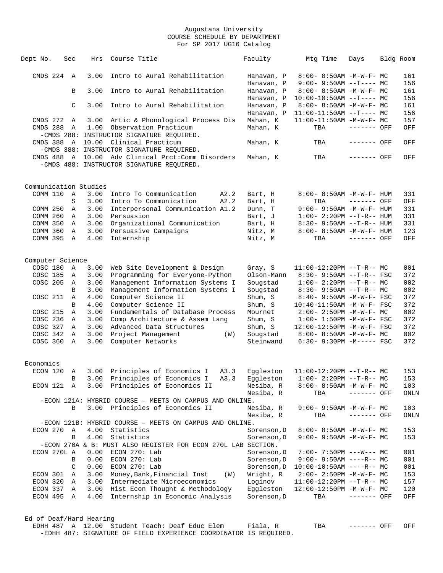| Dept No.                | Sec           | Hrs  | Course Title                                                      | Faculty     | Mtg Time                          | Days        | Bldg Room |
|-------------------------|---------------|------|-------------------------------------------------------------------|-------------|-----------------------------------|-------------|-----------|
| $CMDS$ 224 A            |               | 3.00 | Intro to Aural Rehabilitation                                     | Hanavan, P  | 8:00- 8:50AM -M-W-F- MC           |             | 161       |
|                         |               |      |                                                                   | Hanavan, P  | $9:00 - 9:50AM -T--- MC$          |             | 156       |
|                         | B             | 3.00 | Intro to Aural Rehabilitation                                     | Hanavan, P  | 8:00- 8:50AM -M-W-F- MC           |             | 161       |
|                         |               |      |                                                                   | Hanavan, P  | $10:00-10:50AM$ --T---- MC        |             | 156       |
|                         | $\mathcal{C}$ | 3.00 | Intro to Aural Rehabilitation                                     | Hanavan, P  | $8:00 - 8:50AM$ -M-W-F- MC        |             | 161       |
|                         |               |      |                                                                   | Hanavan, P  | $11:00-11:50AM$ --T---- MC        |             | 156       |
| CMDS 272                | A             | 3.00 | Artic & Phonological Process Dis                                  | Mahan, K    | $11:00-11:50AM$ -M-W-F- MC        |             | 157       |
| CMDS 288                | A             | 1.00 | Observation Practicum                                             | Mahan, K    | TBA                               | ------- OFF | OFF       |
|                         |               |      | -CMDS 288: INSTRUCTOR SIGNATURE REOUIRED.                         |             |                                   |             |           |
| CMDS 388                |               |      | A 10.00 Clinical Practicum                                        | Mahan, K    | TBA                               | ------- OFF | OFF       |
|                         |               |      | -CMDS 388: INSTRUCTOR SIGNATURE REQUIRED.                         |             |                                   |             |           |
|                         |               |      | CMDS 488 A 10.00 Adv Clinical Prct:Comm Disorders                 | Mahan, K    | TBA                               | ------- OFF | OFF       |
|                         |               |      | -CMDS 488: INSTRUCTOR SIGNATURE REQUIRED.                         |             |                                   |             |           |
|                         |               |      |                                                                   |             |                                   |             |           |
| Communication Studies   |               |      |                                                                   |             |                                   |             |           |
| COMM 110 A              |               | 3.00 | Intro To Communication<br>A2.2                                    | Bart, H     | 8:00- 8:50AM -M-W-F- HUM          |             | 331       |
|                         | S             | 3.00 | Intro To Communication<br>A2.2                                    | Bart, H     | TBA                               | ------- OFF | OFF       |
| COMM 250                | A             | 3.00 | Interpersonal Communication A1.2                                  | Dunn, T     | $9:00-9:50AM -M-W-F-HUM$          |             | 331       |
| COMM 260                | A             | 3.00 | Persuasion                                                        | Bart, J     | $1:00-2:20PM -T-R--HUM$           |             | 331       |
| COMM 350                | A             | 3.00 | Organizational Communication                                      | Bart, H     | $8:30 - 9:50AM -T-R-- HUM$        |             | 331       |
| COMM 360                | Α             | 3.00 | Persuasive Campaigns                                              | Nitz, M     | $8:00 - 8:50AM - M - W - F - HUM$ |             | 123       |
| COMM 395                | $\mathbb{A}$  | 4.00 | Internship                                                        | Nitz, M     | TBA                               | ------- OFF | OFF       |
|                         |               |      |                                                                   |             |                                   |             |           |
| Computer Science        |               |      |                                                                   |             |                                   |             |           |
| COSC 180                | Α             | 3.00 | Web Site Development & Design                                     | Gray, S     | $11:00-12:20PM$ --T-R-- MC        |             | 001       |
| COSC 185                | Α             | 3.00 | Programming for Everyone-Python                                   | Olson-Mann  | $8:30 - 9:50AM -T-R--FSC$         |             | 372       |
| COSC 205                | A             | 3.00 | Management Information Systems I                                  | Sougstad    | $1:00-2:20PM -T-R--MC$            |             | 002       |
|                         | B             | 3.00 | Management Information Systems I                                  | Sougstad    | $8:30 - 9:50AM -T-R-- MC$         |             | 002       |
| COSC 211                | A             | 4.00 | Computer Science II                                               | Shum, S     | 8:40- 9:50AM -M-W-F- FSC          |             | 372       |
|                         | B             | 4.00 | Computer Science II                                               | Shum, S     | $10:40 - 11:50$ AM $-M-W-F-$ FSC  |             | 372       |
| COSC 215                | Α             | 3.00 | Fundamentals of Database Process                                  | Mournet     | $2:00 - 2:50PM -M-W-F - MC$       |             | 002       |
| COSC 236                | A             | 3.00 | Comp Architecture & Assem Lang                                    | Shum, S     | $1:00 - 1:50PM - M - W - F - FSC$ |             | 372       |
| COSC 327                | Α             | 3.00 | Advanced Data Structures                                          | Shum, S     | 12:00-12:50PM -M-W-F- FSC         |             | 372       |
| COSC 342                | Α             | 3.00 | Project Management<br>(W)                                         | Sougstad    | $8:00-8:50AM -M-W-F-MC$           |             | 002       |
| COSC 360                | $\mathbb A$   | 3.00 | Computer Networks                                                 | Steinwand   | $6:30 - 9:30PM -M--- FSC$         |             | 372       |
|                         |               |      |                                                                   |             |                                   |             |           |
| Economics               |               |      |                                                                   |             |                                   |             |           |
| ECON 120                | Α             | 3.00 | Principles of Economics I<br>A3.3                                 | Eqqleston   | $11:00-12:20PM --T-R--MC$         |             | 153       |
|                         | B             | 3.00 | Principles of Economics I<br>A3.3                                 | Eqqleston   | $1:00-2:20PM$ --T-R-- MC          |             | 153       |
| ECON 121 A              |               |      | 3.00 Principles of Economics II                                   | Nesiba, R   | 8:00- 8:50AM -M-W-F- MC           |             | 103       |
|                         |               |      |                                                                   | Nesiba, R   | TBA                               | ------- OFF | ONLN      |
|                         |               |      | -ECON 121A: HYBRID COURSE - MEETS ON CAMPUS AND ONLINE.           |             |                                   |             |           |
|                         | В             |      | 3.00 Principles of Economics II                                   | Nesiba, R   | 9:00- 9:50AM -M-W-F- MC           |             | 103       |
|                         |               |      |                                                                   | Nesiba, R   | TBA                               | ------- OFF | ONLN      |
|                         |               |      | -ECON 121B: HYBRID COURSE - MEETS ON CAMPUS AND ONLINE.           |             |                                   |             |           |
| ECON 270                | A             | 4.00 | Statistics                                                        | Sorenson, D | $8:00 - 8:50AM - M - W - F - MC$  |             | 153       |
|                         | B             | 4.00 | Statistics                                                        | Sorenson, D | 9:00- 9:50AM -M-W-F- MC           |             | 153       |
|                         |               |      | -ECON 270A & B: MUST ALSO REGISTER FOR ECON 270L LAB SECTION.     |             |                                   |             |           |
| ECON 270L A             |               | 0.00 | ECON 270: Lab                                                     | Sorenson, D | $7:00 - 7:50PM$ ---W--- MC        |             | 001       |
|                         | В             | 0.00 | ECON 270: Lab                                                     | Sorenson, D | $9:00 - 9:50AM$ ----R-- MC        |             | 001       |
|                         | C             | 0.00 | ECON 270: Lab                                                     | Sorenson, D | $10:00-10:50AM$ ----R-- MC        |             | 001       |
| ECON 301                | A             | 3.00 | Money, Bank, Financial Inst<br>(W)                                | Wright, R   | $2:00-2:50PM -M-W-F-MC$           |             | 153       |
| ECON 320                | A             | 3.00 | Intermediate Microeconomics                                       | Loginov     | $11:00-12:20PM$ --T-R-- MC        |             | 157       |
| ECON 337 A              |               |      | 3.00 Hist Econ Thought & Methodology                              | Eggleston   | 12:00-12:50PM -M-W-F- MC          |             | 120       |
| ECON 495 A              |               | 4.00 | Internship in Economic Analysis                                   | Sorenson, D | TBA                               | ------- OFF | OFF       |
|                         |               |      |                                                                   |             |                                   |             |           |
| Ed of Deaf/Hard Hearing |               |      |                                                                   |             |                                   |             |           |
| EDHH 487 A 12.00        |               |      | Student Teach: Deaf Educ Elem                                     | Fiala, R    | TBA                               | ------- OFF | OFF       |
|                         |               |      | -EDHH 487: SIGNATURE OF FIELD EXPERIENCE COORDINATOR IS REQUIRED. |             |                                   |             |           |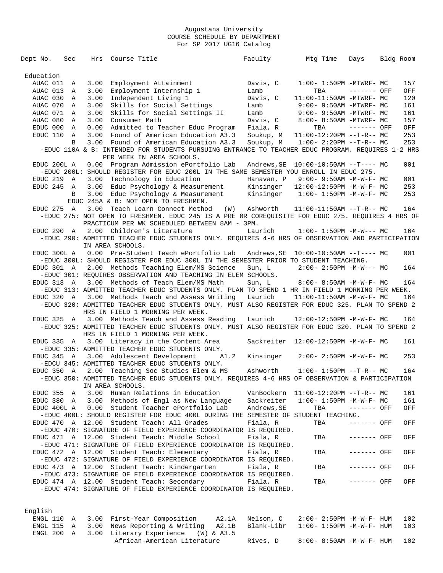| Dept No.<br>Sec            |      | Hrs Course Title                                                                                                                       | Faculty             | Mtg Time                              | Days         | Bldg Room |     |
|----------------------------|------|----------------------------------------------------------------------------------------------------------------------------------------|---------------------|---------------------------------------|--------------|-----------|-----|
| Education                  |      |                                                                                                                                        |                     |                                       |              |           |     |
| AUAC 011<br>A              | 3.00 | Employment Attainment                                                                                                                  | Davis, C            | $1:00-1:50PM -MTWRF-MC$               |              |           | 157 |
| AUAC 013<br>Α              | 3.00 | Employment Internship 1                                                                                                                | Lamb                | TBA                                   | $------$ OFF |           | OFF |
| AUAC 030<br>A              | 3.00 | Independent Living 1                                                                                                                   | Davis, C            | 11:00-11:50AM -MTWRF- MC              |              |           | 120 |
| AUAC 070<br>A              | 3.00 | Skills for Social Settings                                                                                                             | Lamb                | $9:00-9:50AM -MTWRF-MC$               |              |           | 161 |
| AUAC 071<br>A              | 3.00 | Skills for Social Settings II                                                                                                          | Lamb                | 9:00- 9:50AM -MTWRF- MC               |              |           | 161 |
| AUAC 080<br>A              | 3.00 | Consumer Math                                                                                                                          | Davis, C            | 8:00- 8:50AM -MTWRF- MC               |              |           | 157 |
| EDUC 000<br>A              | 0.00 | Admitted to Teacher Educ Program                                                                                                       | Fiala, R            | TBA                                   | ------- OFF  |           | OFF |
| EDUC 110<br>A              | 3.00 | Found of American Education A3.3                                                                                                       | Soukup, M           | $11:00-12:20PM$ --T-R-- MC            |              |           | 253 |
| B                          |      | 3.00 Found of American Education A3.3                                                                                                  | Soukup, M           | $1:00-2:20PM -T-R--MC$                |              |           | 253 |
|                            |      | -EDUC 110A & B: INTENDED FOR STUDENTS PURSUING ENTRANCE TO TEACHER EDUC PROGRAM. REQUIRES 1-2 HRS<br>PER WEEK IN AREA SCHOOLS.         |                     |                                       |              |           |     |
| EDUC 200L A                |      | 0.00 Program Admission ePortfolio Lab<br>-EDUC 200L: SHOULD REGISTER FOR EDUC 200L IN THE SAME SEMESTER YOU ENROLL IN EDUC 275.        |                     |                                       |              |           | 001 |
| EDUC 219<br>A              | 3.00 | Technology in Education                                                                                                                | Hanavan, P          | $9:00 - 9:50AM - M - W - F - MC$      |              |           | 001 |
| EDUC 245 A                 | 3.00 | Educ Psychology & Measurement                                                                                                          | Kinsinger           | 12:00-12:50PM -M-W-F- MC              |              |           | 253 |
| В                          | 3.00 | Educ Psychology & Measurement                                                                                                          | Kinsinger           | $1:00-1:50$ PM $-M-W-F-MC$            |              |           | 253 |
|                            |      | EDUC 245A & B: NOT OPEN TO FRESHMEN.                                                                                                   |                     |                                       |              |           |     |
| EDUC 275<br>$\overline{A}$ | 3.00 | Teach Learn Connect Method                                                                                                             | (W)<br>Ashworth     | $11:00-11:50AM$ --T-R-- MC            |              |           | 164 |
|                            |      | -EDUC 275: NOT OPEN TO FRESHMEN. EDUC 245 IS A PRE OR COREQUISITE FOR EDUC 275. REQUIRES 4 HRS OF                                      |                     |                                       |              |           |     |
|                            |      | PRACTICUM PER WK SCHEDULED BETWEEN 8AM - 3PM.                                                                                          |                     |                                       |              |           |     |
| EDUC 290 A                 |      | 2.00 Children's Literature                                                                                                             | Laurich             | $1:00 - 1:50PM -M-W--- MC$            |              |           | 164 |
|                            |      | -EDUC 290: ADMITTED TEACHER EDUC STUDENTS ONLY. REQUIRES 4-6 HRS OF OBSERVATION AND PARTICIPATION                                      |                     |                                       |              |           |     |
|                            |      | IN AREA SCHOOLS.                                                                                                                       |                     |                                       |              |           |     |
| EDUC 300L A                |      | 0.00 Pre-Student Teach ePortfolio Lab                                                                                                  | Andrews, SE         | $10:00-10:50AM$ --T---- MC            |              |           | 001 |
|                            |      | -EDUC 300L: SHOULD REGISTER FOR EDUC 300L IN THE SEMESTER PRIOR TO STUDENT TEACHING.                                                   |                     |                                       |              |           |     |
|                            |      |                                                                                                                                        |                     | $2:00 - 2:50PM -M-W--- MC$            |              |           | 164 |
| EDUC 301 A                 |      | 2.00 Methods Teaching Elem/MS Science<br>-EDUC 301: REQUIRES OBSERVATION AND TEACHING IN ELEM SCHOOLS.                                 | Sun, L              |                                       |              |           |     |
| EDUC 313 A                 |      | 3.00 Methods of Teach Elem/MS Math                                                                                                     | Sun, L              | $8:00 - 8:50AM$ -M-W-F- MC            |              |           | 164 |
|                            |      | -EDUC 313: ADMITTED TEACHER EDUC STUDENTS ONLY. PLAN TO SPEND 1 HR IN FIELD 1 MORNING PER WEEK.                                        |                     |                                       |              |           |     |
| EDUC 320 A                 |      | 3.00 Methods Teach and Assess Writing                                                                                                  | Laurich             | 11:00-11:50AM -M-W-F- MC              |              |           | 164 |
|                            |      | -EDUC 320: ADMITTED TEACHER EDUC STUDENTS ONLY. MUST ALSO REGISTER FOR EDUC 325. PLAN TO SPEND 2                                       |                     |                                       |              |           |     |
|                            |      | HRS IN FIELD 1 MORNING PER WEEK.                                                                                                       |                     |                                       |              |           |     |
| EDUC 325 A                 |      | 3.00 Methods Teach and Assess Reading                                                                                                  | Laurich             | 12:00-12:50PM -M-W-F- MC              |              |           | 164 |
|                            |      | -EDUC 325: ADMITTED TEACHER EDUC STUDENTS ONLY. MUST ALSO REGISTER FOR EDUC 320. PLAN TO SPEND 2                                       |                     |                                       |              |           |     |
|                            |      | HRS IN FIELD 1 MORNING PER WEEK.                                                                                                       |                     |                                       |              |           |     |
| EDUC 335 A                 |      | 3.00 Literacy in the Content Area                                                                                                      |                     | Sackreiter 12:00-12:50PM -M-W-F- MC   |              |           | 161 |
|                            |      | -EDUC 335: ADMITTED TEACHER EDUC STUDENTS ONLY.                                                                                        |                     |                                       |              |           |     |
| EDUC 345 A                 |      | 3.00 Adolescent Development                                                                                                            | Kinsinger<br>A1.2   | $2:00 - 2:50PM -M-W-F-MC$             |              |           | 253 |
|                            |      | -EDCU 345: ADMITTED TEACHER EDUC STUDENTS ONLY.                                                                                        |                     |                                       |              |           |     |
| EDUC 350 A                 |      |                                                                                                                                        | Ashworth            | $1:00-1:50PM -T-R--MC$                |              |           | 164 |
|                            |      | 2.00 Teaching Soc Studies Elem & MS<br>-EDUC 350: ADMITTED TEACHER EDUC STUDENTS ONLY. REQUIRES 4-6 HRS OF OBSERVATION & PARTICIPATION |                     |                                       |              |           |     |
|                            |      |                                                                                                                                        |                     |                                       |              |           |     |
|                            |      |                                                                                                                                        |                     |                                       |              |           |     |
|                            |      | IN AREA SCHOOLS.                                                                                                                       |                     |                                       |              |           |     |
| EDUC 355<br>Α              | 3.00 | Human Relations in Education                                                                                                           |                     | VanBockern $11:00-12:20PM$ --T-R-- MC |              |           | 161 |
| EDUC 380 A                 |      | 3.00 Methods of Engl as New Language                                                                                                   | Sackreiter          | $1:00 - 1:50PM - M - W - F - MC$      |              |           | 161 |
| EDUC 400L A                | 0.00 | Student Teacher ePortfolio Lab                                                                                                         | Andrews, SE         | TBA                                   | ------- OFF  |           | OFF |
|                            |      | -EDUC 400L: SHOULD REGISTER FOR EDUC 400L DURING THE SEMESTER OF STUDENT TEACHING.                                                     |                     |                                       |              |           |     |
|                            |      | EDUC 470 A 12.00 Student Teach: All Grades                                                                                             | Fiala, R            | TBA                                   | ------- OFF  |           | OFF |
|                            |      | -EDUC 470: SIGNATURE OF FIELD EXPERIENCE COORDINATOR IS REQUIRED.                                                                      |                     |                                       |              |           |     |
|                            |      | EDUC 471 A 12.00 Student Teach: Middle School                                                                                          | Fiala, R            | TBA                                   | ------- OFF  |           | OFF |
|                            |      | -EDUC 471: SIGNATURE OF FIELD EXPERIENCE COORDINATOR IS REQUIRED.                                                                      |                     |                                       |              |           |     |
|                            |      | EDUC 472 A 12.00 Student Teach: Elementary                                                                                             | Fiala, R            | TBA                                   | ------- OFF  |           | OFF |
|                            |      |                                                                                                                                        |                     |                                       |              |           |     |
|                            |      | -EDUC 472: SIGNATURE OF FIELD EXPERIENCE COORDINATOR IS REQUIRED.                                                                      |                     |                                       |              |           |     |
|                            |      | EDUC 473 A 12.00 Student Teach: Kindergarten                                                                                           | Fiala, R            | TBA                                   | ------- OFF  |           | OFF |
|                            |      | -EDUC 473: SIGNATURE OF FIELD EXPERIENCE COORDINATOR IS REQUIRED.                                                                      |                     |                                       |              |           |     |
|                            |      | EDUC 474 A 12.00 Student Teach: Secondary                                                                                              | Fiala, R            | TBA                                   | ------- OFF  |           | OFF |
|                            |      | -EDUC 474: SIGNATURE OF FIELD EXPERIENCE COORDINATOR IS REQUIRED.                                                                      |                     |                                       |              |           |     |
|                            |      |                                                                                                                                        |                     |                                       |              |           |     |
| English                    |      |                                                                                                                                        |                     |                                       |              |           |     |
| ENGL 110<br>A              | 3.00 | First-Year Composition                                                                                                                 | Nelson, C<br>A2.1A  | 2:00- 2:50PM -M-W-F- HUM              |              |           | 102 |
| ENGL 115<br>Α              | 3.00 | News Reporting & Writing                                                                                                               | Blank-Libr<br>A2.1B | $1:00 - 1:50PM - M - W - F - HUM$     |              |           | 103 |
| ENGL 200<br>Α              | 3.00 | Literary Experience<br>$(W)$ & A3.5                                                                                                    |                     |                                       |              |           |     |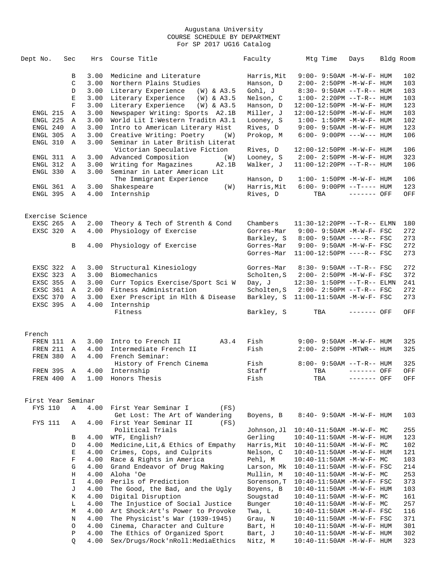| Dept No.           | Sec         | Hrs  | Course Title                          | Faculty     | Mtg Time                          | Days        | Bldg Room   |
|--------------------|-------------|------|---------------------------------------|-------------|-----------------------------------|-------------|-------------|
|                    |             |      |                                       |             |                                   |             |             |
|                    | В           | 3.00 | Medicine and Literature               | Harris, Mit | $9:00-9:50AM -M-W-F-HUM$          |             | 102         |
|                    | C           | 3.00 | Northern Plains Studies               | Hanson, D   | $2:00 - 2:50PM -M-W-F- HUM$       |             | 103         |
|                    | D           | 3.00 | Literary Experience<br>(W) & A3.5     | Gohl, J     | $8:30 - 9:50AM -T-R--HUM$         |             | 103         |
|                    | $\mathbf E$ | 3.00 | Literary Experience (W) & A3.5        | Nelson, C   | $1:00 - 2:20PM -T-R--HUM$         |             | 103         |
|                    | $\mathbf F$ | 3.00 | Literary Experience<br>$(W)$ & $A3.5$ | Hanson, D   | 12:00-12:50PM -M-W-F- HUM         |             | 123         |
| ENGL 215           | A           | 3.00 | Newspaper Writing: Sports A2.1B       | Miller, J   | 12:00-12:50PM -M-W-F- HUM         |             | 103         |
| ENGL 225           | Α           | 3.00 | World Lit I: Western Traditn A3.1     | Looney, S   | $1:00 - 1:50PM - M - W - F - HUM$ |             | 102         |
| ENGL 240           | Α           | 3.00 | Intro to American Literary Hist       | Rives, D    | $9:00 - 9:50AM - M - W - F - HUM$ |             | 123         |
| ENGL 305           | Α           | 3.00 | Creative Writing: Poetry<br>(W)       | Prokop, M   | $6:00-9:00PM$ ---W--- HUM         |             | 106         |
| ENGL 310           | $\mathbb A$ | 3.00 | Seminar in Later British Literat      |             |                                   |             |             |
|                    |             |      | Victorian Speculative Fiction         | Rives, D    | 12:00-12:50PM -M-W-F- HUM         |             | 106         |
| ENGL 311           | A           | 3.00 | Advanced Composition<br>(W)           | Looney, S   | $2:00 - 2:50PM -M-W-F- HUM$       |             | 323         |
| ENGL 312           | A           | 3.00 | Writing for Magazines<br>A2.1B        | Walker, J   | $11:00-12:20PM$ --T-R-- HUM       |             | 106         |
| ENGL 330           | $\mathbb A$ | 3.00 | Seminar in Later American Lit         |             |                                   |             |             |
|                    |             |      | The Immigrant Experience              | Hanson, D   | $1:00 - 1:50PM - M - W - F - HUM$ |             | 106         |
| ENGL 361           | A           | 3.00 | Shakespeare<br>(W)                    | Harris, Mit | $6:00 - 9:00PM -T--- HUM$         |             | 123         |
| ENGL 395           | A           | 4.00 | Internship                            | Rives, D    | TBA                               | ------- OFF | OFF         |
|                    |             |      |                                       |             |                                   |             |             |
|                    |             |      |                                       |             |                                   |             |             |
| Exercise Science   |             |      |                                       |             |                                   |             |             |
| EXSC 265 A         |             | 2.00 | Theory & Tech of Strenth & Cond       | Chambers    | $11:30-12:20PM --T-R--ELMN$       |             | 180         |
| EXSC 320           | A           | 4.00 | Physiology of Exercise                | Gorres-Mar  | $9:00 - 9:50AM - M - W - F - FSC$ |             | 272         |
|                    |             |      |                                       | Barkley, S  | $8:00 - 9:50AM$ ----R-- FSC       |             | 273         |
|                    | B           | 4.00 | Physiology of Exercise                | Gorres-Mar  | $9:00 - 9:50AM - M-W-F - FSC$     |             | 272         |
|                    |             |      |                                       | Gorres-Mar  | 11:00-12:50PM ----R-- FSC         |             | 273         |
|                    |             |      |                                       |             |                                   |             |             |
| EXSC 322           | A           | 3.00 | Structural Kinesiology                | Gorres-Mar  | $8:30 - 9:50AM -T-R--FSC$         |             | 272         |
| EXSC 323           | A           | 3.00 | Biomechanics                          | Scholten, S | 2:00- 2:50PM -M-W-F- FSC          |             | 372         |
| EXSC 355           | Α           | 3.00 | Curr Topics Exercise/Sport Sci W      | Day, J      | 12:30- 1:50PM --T-R-- ELMN        |             | 241         |
| EXSC 361           | A           | 2.00 | Fitness Administration                | Scholten, S | $2:00 - 2:50PM -T-R--FSC$         |             | 272         |
| EXSC 370           | A           | 3.00 | Exer Prescript in H1th & Disease      | Barkley, S  | $11:00-11:50AM$ -M-W-F- FSC       |             | 273         |
| EXSC 395           | A           | 4.00 | Internship                            |             |                                   |             |             |
|                    |             |      | Fitness                               | Barkley, S  | TBA                               | ------- OFF | OFF         |
|                    |             |      |                                       |             |                                   |             |             |
| French             |             |      |                                       |             |                                   |             |             |
| FREN 111 A         |             | 3.00 | Intro to French II<br>A3.4            | Fish        | $9:00 - 9:50AM - M - W - F - HUM$ |             | 325         |
| FREN 211           | A           | 4.00 | Intermediate French II                | Fish        | $2:00 - 2:50PM -MTWR - - HUM$     |             | 325         |
| FREN 380           | $\mathbb A$ | 4.00 | French Seminar:                       |             |                                   |             |             |
|                    |             |      | History of French Cinema              | Fish        | $8:00 - 9:50AM -T-R-- HUM$        |             | 325         |
| <b>FREN 395</b>    | Α           | 4.00 | Internship                            | Staff       | TBA                               | ------- OFF | OFF         |
| FREN 400           | Α           | 1.00 | Honors Thesis                         | Fish        | TBA                               | ------- OFF | ${\rm OFF}$ |
|                    |             |      |                                       |             |                                   |             |             |
|                    |             |      |                                       |             |                                   |             |             |
| First Year Seminar |             |      |                                       |             |                                   |             |             |
| FYS 110            | Α           | 4.00 | First Year Seminar I<br>(FS)          |             |                                   |             |             |
|                    |             |      | Get Lost: The Art of Wandering        | Boyens, B   | $8:40 - 9:50AM - M - W - F - HUM$ |             | 103         |
| FYS 111            | Α           | 4.00 | First Year Seminar II<br>(FS)         |             |                                   |             |             |
|                    |             |      | Political Trials                      | Johnson, Jl | 10:40-11:50AM -M-W-F- MC          |             | 255         |
|                    | В           | 4.00 | WTF, English?                         | Gerling     | 10:40-11:50AM -M-W-F- HUM         |             | 123         |
|                    | D           | 4.00 | Medicine, Lit, & Ethics of Empathy    | Harris, Mit | 10:40-11:50AM -M-W-F- MC          |             | 102         |
|                    | Е           | 4.00 | Crimes, Cops, and Culprits            | Nelson, C   | 10:40-11:50AM -M-W-F- HUM         |             | 121         |
|                    | F           | 4.00 | Race & Rights in America              | Pehl, M     | $10:40-11:50AM$ -M-W-F- MC        |             | 103         |
|                    | G           | 4.00 | Grand Endeavor of Drug Making         | Larson, Mk  | 10:40-11:50AM -M-W-F- FSC         |             | 214         |
|                    | Н           | 4.00 | Aloha 'Oe                             | Mullin, M   | 10:40-11:50AM -M-W-F- MC          |             | 253         |
|                    | $\mathbf I$ | 4.00 | Perils of Prediction                  | Sorenson, T | $10:40 - 11:50AM$ -M-W-F- FSC     |             | 373         |
|                    | J           | 4.00 | The Good, the Bad, and the Ugly       | Boyens, B   | 10:40-11:50AM -M-W-F- HUM         |             | 103         |
|                    | Κ           | 4.00 | Digital Disruption                    | Sougstad    | $10:40-11:50AM$ -M-W-F- MC        |             | 161         |
|                    | L           | 4.00 | The Injustice of Social Justice       | Bunger      | 10:40-11:50AM -M-W-F- MC          |             | 257         |
|                    | M           | 4.00 | Art Shock: Art's Power to Provoke     | Twa, L      | 10:40-11:50AM -M-W-F- FSC         |             | 116         |
|                    | N           | 4.00 | The Physicist's War (1939-1945)       | Grau, N     | 10:40-11:50AM -M-W-F- FSC         |             | 371         |
|                    | $\circ$     | 4.00 | Cinema, Character and Culture         | Bart, H     | $10:40 - 11:50$ AM $-M-W-F-$ HUM  |             | 301         |
|                    | Ρ           | 4.00 | The Ethics of Organized Sport         | Bart, J     | 10:40-11:50AM -M-W-F- HUM         |             | 302         |
|                    | O           | 4.00 | Sex/Drugs/Rock'nRoll:MediaEthics      | Nitz, M     | 10:40-11:50AM -M-W-F- HUM         |             | 323         |
|                    |             |      |                                       |             |                                   |             |             |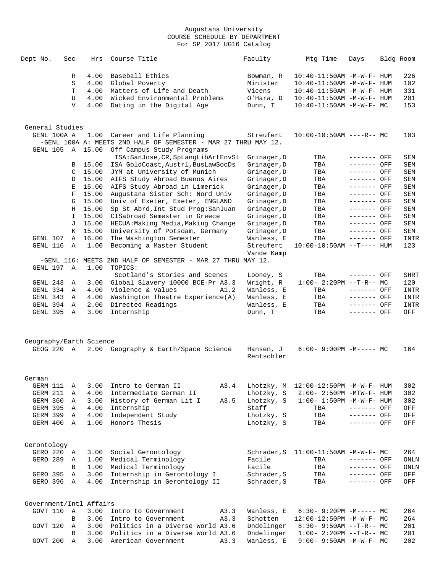| Dept No.                            | Sec          | Hrs     | Course Title                                                                                    | Faculty                    | Mtg Time                                           | Days                       | Bldg Room   |
|-------------------------------------|--------------|---------|-------------------------------------------------------------------------------------------------|----------------------------|----------------------------------------------------|----------------------------|-------------|
|                                     | R            | 4.00    | Baseball Ethics                                                                                 | Bowman, R                  | $10:40 - 11:50AM$ -M-W-F- HUM                      |                            | 226         |
|                                     | S            | 4.00    | Global Poverty                                                                                  | Minister                   | 10:40-11:50AM -M-W-F- HUM                          |                            | 102         |
|                                     | T            | 4.00    | Matters of Life and Death                                                                       | Vicens                     | $10:40 - 11:50$ AM $-M-W-F-$ HUM                   |                            | 331         |
|                                     | U            | 4.00    | Wicked Environmental Problems                                                                   | O'Hara, D                  | 10:40-11:50AM -M-W-F- HUM                          |                            | 201         |
|                                     | $\mathbf{V}$ | 4.00    | Dating in the Digital Age                                                                       | Dunn, T                    | $10:40-11:50AM$ -M-W-F- MC                         |                            | 153         |
| General Studies                     |              |         |                                                                                                 |                            |                                                    |                            |             |
| GENL 100A A                         |              |         | 1.00 Career and Life Planning<br>-GENL 100A A: MEETS 2ND HALF OF SEMESTER - MAR 27 THRU MAY 12. | Streufert                  | $10:00-10:50AM$ ----R-- MC                         |                            | 103         |
| GENL 105                            |              | A 15.00 | Off Campus Study Programs                                                                       |                            |                                                    |                            |             |
|                                     | B            | 15.00   | ISA: SanJose, CR, SpLangLibArtEnvSt<br>ISA GoldCoast, Austrl, BusLawSocDs                       | Grinager, D<br>Grinager, D | TBA<br>TBA                                         | ------- OFF<br>------- OFF | SEM<br>SEM  |
|                                     | C            | 15.00   | JYM at University of Munich                                                                     | Grinager, D                | TBA                                                | ------- OFF                | SEM         |
|                                     | D            | 15.00   | AIFS Study Abroad Buenos Aires                                                                  | Grinager, D                | TBA                                                | ------- OFF                | SEM         |
|                                     | Е            | 15.00   | AIFS Study Abroad in Limerick                                                                   | Grinager, D                | TBA                                                | $-----$ OFF                | SEM         |
|                                     | F            | 15.00   | Augustana Sister Sch: Nord Univ                                                                 | Grinager, D                | TBA                                                | ------- OFF                | SEM         |
|                                     | G            | 15.00   | Univ of Exeter, Exeter, ENGLAND                                                                 | Grinager, D                | TBA                                                | ------- OFF                | SEM         |
|                                     |              | H 15.00 | Sp St Abrd, Int Stud Prog: SanJuan                                                              | Grinager, D                | TBA                                                | ------- OFF                | SEM         |
|                                     | I.           | 15.00   | CISabroad Semester in Greece                                                                    | Grinager, D                | TBA                                                | $-----$ OFF                | SEM         |
|                                     | J            | 15.00   | HECUA: Making Media, Making Change                                                              | Grinager, D                | TBA                                                | $-----$ OFF                | SEM         |
|                                     | K            | 15.00   | University of Potsdam, Germany                                                                  | Grinager, D                | TBA                                                | ------- OFF                | SEM         |
| GENL 107                            | Α            | 16.00   | The Washington Semester                                                                         | Wanless, E                 | TBA                                                | $-----$ OFF                | INTR        |
| GENL 116                            | Α            | 1.00    | Becoming a Master Student                                                                       | Streufert<br>Vande Kamp    | $10:00-10:50AM$ --T---- HUM                        |                            | 123         |
|                                     |              |         | -GENL 116: MEETS 2ND HALF OF SEMESTER - MAR 27 THRU MAY 12.                                     |                            |                                                    |                            |             |
| GENL 197 A                          |              | 1.00    | TOPICS:                                                                                         |                            |                                                    |                            |             |
|                                     |              |         | Scotland's Stories and Scenes                                                                   | Looney, S                  | TBA                                                | ------- OFF                | <b>SHRT</b> |
| GENL 243                            | Α            | 3.00    | Global Slavery 10000 BCE-Pr A3.3                                                                | Wright, R                  | $1:00-2:20PM -T-R--MC$                             |                            | 120         |
| GENL 334                            | Α            | 4.00    | Violence & Values<br>A1.2                                                                       | Wanless, E                 | TBA                                                | ------- OFF                | INTR        |
| GENL 343                            | Α            | 4.00    | Washington Theatre Experience(A)                                                                | Wanless, E                 | TBA                                                | ------- OFF                | INTR        |
| GENL 394                            | Α            | 2.00    | Directed Readings                                                                               | Wanless, E                 | TBA                                                | ------- OFF                | INTR        |
| GENL 395                            | A            | 3.00    | Internship                                                                                      | Dunn, T                    | TBA                                                | $-----$ OFF                | OFF         |
| Geography/Earth Science             |              |         |                                                                                                 |                            |                                                    |                            |             |
| GEOG 220 A                          |              |         | 2.00 Geography & Earth/Space Science                                                            | Hansen, J                  | $6:00-9:00PM -M--- MC$                             |                            | 164         |
|                                     |              |         |                                                                                                 | Rentschler                 |                                                    |                            |             |
| German                              |              |         |                                                                                                 |                            |                                                    |                            |             |
| GERM 111                            | Α            | 3.00    | Intro to German II<br>A3.4                                                                      | Lhotzky, M                 | 12:00-12:50PM -M-W-F- HUM                          |                            | 302         |
| GERM 211                            | Α            | 4.00    | Intermediate German II                                                                          | Lhotzky, S                 | 2:00- 2:50PM -MTW-F- HUM                           |                            | 302         |
| GERM 360                            | Α            | 3.00    | History of German Lit I<br>A3.5                                                                 | Lhotzky, S                 | $1:00 - 1:50PM - M - W - F - HUM$                  |                            | 302         |
| GERM 395 A                          |              | 4.00    | Internship                                                                                      | Staff                      | TBA                                                | $------$ OFF               | OFF         |
| GERM 399                            | Α            | 4.00    | Independent Study                                                                               | Lhotzky, S                 | TBA                                                | ------- OFF                | OFF         |
| GERM 400                            | A            | 1.00    | Honors Thesis                                                                                   | Lhotzky, S                 | TBA                                                | $------$ OFF               | OFF         |
| Gerontology                         |              |         |                                                                                                 |                            |                                                    |                            |             |
| GERO 220                            | A            | 3.00    | Social Gerontology                                                                              | Schrader, S                | 11:00-11:50AM -M-W-F- MC                           |                            | 264         |
| GERO 289                            | Α            | 1.00    | Medical Terminology                                                                             | Facile                     | TBA                                                | ------- OFF                | ONLN        |
|                                     | B            | 1.00    | Medical Terminology                                                                             | Facile                     | TBA                                                | ------- OFF                | ONLN        |
| GERO 395                            | Α            | 3.00    | Internship in Gerontology I                                                                     | Schrader, S                | TBA                                                | $-----$ OFF                | OFF         |
| GERO 396 A                          |              | 4.00    | Internship in Gerontology II                                                                    | Schrader, S                | TBA                                                | ------- OFF                | OFF         |
|                                     |              |         |                                                                                                 |                            |                                                    |                            |             |
| Government/Intl Affairs<br>GOVT 110 | A            | 3.00    |                                                                                                 |                            |                                                    |                            |             |
|                                     | В            | 3.00    | Intro to Government<br>A3.3<br>A3.3<br>Intro to Government                                      | Wanless, E<br>Schotten     | $6:30-9:20PM -M--- MC$<br>12:00-12:50PM -M-W-F- MC |                            | 264<br>264  |
| GOVT 120                            | Α            | 3.00    | Politics in a Diverse World A3.6                                                                | Dndelinger                 | $8:30 - 9:50AM -T-R-- MC$                          |                            | 201         |
|                                     | B            | 3.00    | Politics in a Diverse World A3.6                                                                | Dndelinger                 | $1:00-2:20PM -T-R--MC$                             |                            | 201         |
| GOVT 200                            | Α            | 3.00    | American Government<br>A3.3                                                                     | Wanless, E                 | $9:00 - 9:50AM - M - W - F - MC$                   |                            | 202         |
|                                     |              |         |                                                                                                 |                            |                                                    |                            |             |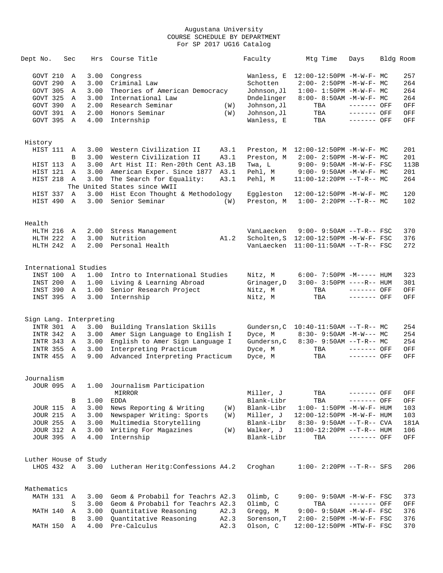| Dept No.                    | Sec               | Hrs          | Course Title                                              |      | Faculty            | Mtg Time                          | Days         | Bldg Room |            |
|-----------------------------|-------------------|--------------|-----------------------------------------------------------|------|--------------------|-----------------------------------|--------------|-----------|------------|
| GOVT 210                    | Α                 | 3.00         | Congress                                                  |      | Wanless, E         | 12:00-12:50PM -M-W-F- MC          |              |           | 257        |
| GOVT 290                    | Α                 | 3.00         | Criminal Law                                              |      | Schotten           | $2:00-2:50PM -M-W-F-MC$           |              |           | 264        |
| GOVT 305                    | A                 | 3.00         | Theories of American Democracy                            |      | Johnson, Jl        | $1:00 - 1:50PM -M-W-F - MC$       |              |           | 264        |
| GOVT 325                    | A                 | 3.00         | International Law                                         |      | Dndelinger         | 8:00- 8:50AM -M-W-F- MC           |              |           | 264        |
| GOVT 390                    | Α                 | 2.00         | Research Seminar                                          | (W)  | Johnson, Jl        | TBA                               | ------- OFF  |           | OFF        |
| GOVT 391                    | $\mathbb{A}$      | 2.00         | Honors Seminar                                            | (W)  | Johnson, Jl        | TBA                               | ------- OFF  |           | OFF        |
| GOVT 395                    | A                 | 4.00         | Internship                                                |      | Wanless, E         | TBA                               | ------- OFF  |           | OFF        |
|                             |                   |              |                                                           |      |                    |                                   |              |           |            |
| History<br>HIST 111         | A                 | 3.00         | Western Civilization II                                   | A3.1 | Preston, M         | 12:00-12:50PM -M-W-F- MC          |              |           | 201        |
|                             | B                 | 3.00         | Western Civilization II                                   | A3.1 | Preston, M         | $2:00 - 2:50PM -M-W-F - MC$       |              |           | 201        |
| HIST 113                    | A                 | 3.00         | Art Hist II: Ren-20th Cent A3.1B                          |      | Twa, L             | $9:00 - 9:50AM - M-W-F - FSC$     |              |           | 113B       |
| HIST 121                    | A                 | 3.00         | American Exper. Since 1877                                | A3.1 | Pehl, M            | $9:00 - 9:50AM - M - W - F - MC$  |              |           | 201        |
| HIST 218                    | Α                 | 3.00         | The Search for Equality:                                  | A3.1 | Pehl, M            | $11:00-12:20PM$ --T-R-- MC        |              |           | 264        |
|                             |                   |              | The United States since WWII                              |      |                    |                                   |              |           |            |
| HIST 337                    | $\mathbb{A}$      | 3.00         | Hist Econ Thought & Methodology                           |      | Eqqleston          | 12:00-12:50PM -M-W-F- MC          |              |           | 120        |
| HIST 490                    | Α                 | 3.00         | Senior Seminar                                            | (W)  | Preston, M         | $1:00-2:20PM -T-R--MC$            |              |           | 102        |
|                             |                   |              |                                                           |      |                    |                                   |              |           |            |
| Health                      |                   |              |                                                           |      |                    |                                   |              |           |            |
| HLTH 216                    | Α                 | 2.00         | Stress Management                                         |      | VanLaecken         | $9:00 - 9:50AM -T-R--FSC$         |              |           | 370        |
| HLTH 222                    | A                 | 3.00         | Nutrition                                                 | A1.2 | Scholten, S        | 12:00-12:50PM -M-W-F- FSC         |              |           | 376        |
| HLTH 242                    | A                 | 2.00         | Personal Health                                           |      | VanLaecken         | $11:00-11:50AM$ --T-R-- FSC       |              |           | 272        |
| International Studies       |                   |              |                                                           |      |                    |                                   |              |           |            |
| INST 100                    | Α                 | 1.00         | Intro to International Studies                            |      | Nitz, M            | $6:00 - 7:50PM -M-----$ HUM       |              |           | 323        |
| INST 200                    | Α                 | 1.00         | Living & Learning Abroad                                  |      | Grinager, D        | $3:00 - 3:50PM$ ----R-- HUM       |              |           | 301        |
| INST 390                    | Α                 | 1.00         | Senior Research Project                                   |      | Nitz, M            | TBA                               | ------- OFF  |           | OFF        |
| INST 395                    | A                 | 3.00         | Internship                                                |      | Nitz, M            | TBA                               | $------$ OFF |           | OFF        |
|                             |                   |              |                                                           |      |                    |                                   |              |           |            |
| Sign Lang. Interpreting     |                   |              |                                                           |      |                    |                                   |              |           |            |
| INTR 301                    | Α                 | 3.00         | Building Translation Skills                               |      | Gundersn, C        | $10:40-11:50AM$ --T-R-- MC        |              |           | 254        |
| INTR 342                    | A                 | 3.00         | Amer Sign Language to English I                           |      | Dyce, M            | $8:30 - 9:50AM - M-W--- MC$       |              |           | 254        |
| INTR 343<br><b>INTR 355</b> | A<br>$\mathbb{A}$ | 3.00<br>3.00 | English to Amer Sign Language I<br>Interpreting Practicum |      | Gundersn, C        | $8:30 - 9:50AM -T-R-- MC$<br>TBA  | ------- OFF  |           | 254<br>OFF |
| <b>INTR 455</b>             | A                 | 9.00         | Advanced Interpreting Practicum                           |      | Dyce, M<br>Dyce, M | TBA                               | ------- OFF  |           | OFF        |
|                             |                   |              |                                                           |      |                    |                                   |              |           |            |
| Journalism                  |                   |              |                                                           |      |                    |                                   |              |           |            |
| <b>JOUR 095</b>             | A                 | 1.00         | Journalism Participation                                  |      |                    |                                   |              |           |            |
|                             |                   |              | MIRROR                                                    |      | Miller, J          | TBA                               | ------- OFF  |           | OFF        |
|                             | В                 | 1.00         | <b>EDDA</b>                                               |      | Blank-Libr         | TBA                               | ------- OFF  |           | OFF        |
| <b>JOUR 115</b>             | Α                 | 3.00         | News Reporting & Writing                                  | (W)  | Blank-Libr         | $1:00 - 1:50PM - M - W - F - HUM$ |              |           | 103        |
| <b>JOUR 215</b>             | Α                 | 3.00         | Newspaper Writing: Sports                                 | (W)  | Miller, J          | 12:00-12:50PM -M-W-F- HUM         |              |           | 103        |
| <b>JOUR 255</b>             | Α                 | 3.00         | Multimedia Storytelling                                   |      | Blank-Libr         | $8:30 - 9:50AM -T-R - CVA$        |              |           | 181A       |
| <b>JOUR 312</b>             | Α                 | 3.00         | Writing For Magazines                                     | (W)  | Walker, J          | 11:00-12:20PM --T-R-- HUM         |              |           | 106        |
| <b>JOUR 395</b>             | A                 | 4.00         | Internship                                                |      | Blank-Libr         | TBA                               | ------- OFF  |           | OFF        |
| Luther House of Study       |                   |              |                                                           |      |                    |                                   |              |           |            |
| LHOS 432 A                  |                   |              | 3.00 Lutheran Heritg: Confessions A4.2                    |      | Croghan            | $1:00 - 2:20PM -T-R-- SFS$        |              |           | 206        |
|                             |                   |              |                                                           |      |                    |                                   |              |           |            |
| Mathematics                 |                   |              |                                                           |      |                    |                                   |              |           |            |
| MATH 131 A                  |                   | 3.00         | Geom & Probabil for Teachrs A2.3                          |      | Olimb, C           | 9:00- 9:50AM -M-W-F- FSC          |              |           | 373        |
|                             | S                 | 3.00         | Geom & Probabil for Teachrs A2.3                          |      | Olimb, C           | TBA                               | ------- OFF  |           | OFF        |
| MATH 140                    | Α                 | 3.00         | Quantitative Reasoning                                    | A2.3 | Gregg, M           | 9:00- 9:50AM -M-W-F- FSC          |              |           | 376        |
|                             | B                 | 3.00         | Quantitative Reasoning                                    | A2.3 | Sorenson, T        | 2:00- 2:50PM -M-W-F- FSC          |              |           | 376        |
| MATH 150                    | Α                 | 4.00         | Pre-Calculus                                              | A2.3 | Olson, C           | 12:00-12:50PM -MTW-F- FSC         |              |           | 370        |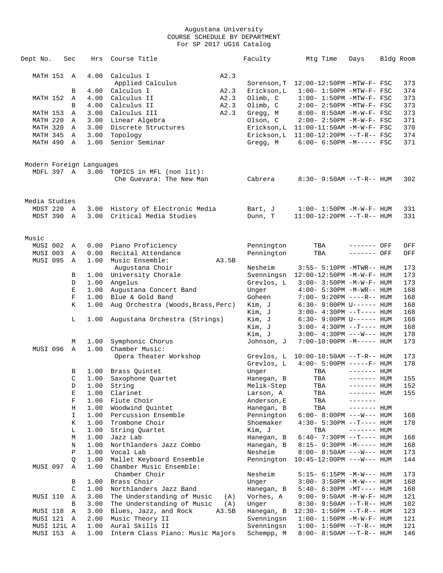| Dept No.                               | Sec           | Hrs  | Course Title                             |     | Faculty          | Mtg Time                                                      | Days         | Bldg Room  |
|----------------------------------------|---------------|------|------------------------------------------|-----|------------------|---------------------------------------------------------------|--------------|------------|
| MATH 151 A                             |               | 4.00 | Calculus I<br>A2.3                       |     |                  |                                                               |              |            |
|                                        |               |      | Applied Calculus                         |     | Sorenson, T      | 12:00-12:50PM -MTW-F- FSC                                     |              | 373        |
|                                        | В             | 4.00 | Calculus I<br>A2.3                       |     | Erickson, L      | $1:00-1:50PM -MTW-F-FSC$                                      |              | 374        |
| MATH 152                               | Α             | 4.00 | Calculus II<br>A2.3                      |     | Olimb, C         | $1:00-1:50PM -MTW-F-FSC$                                      |              | 373        |
|                                        | B             | 4.00 | Calculus II<br>A2.3                      |     | Olimb, C         | 2:00- 2:50PM -MTW-F- FSC                                      |              | 373        |
| MATH 153                               | A             | 3.00 | Calculus III<br>A2.3                     |     | Gregg, M         | 8:00- 8:50AM -M-W-F- FSC                                      |              | 373        |
| MATH 220                               | A             | 3.00 | Linear Algebra                           |     | Olson, C         | $2:00 - 2:50PM - M - W - F - FSC$                             |              | 371        |
| MATH 320                               | $\mathbb A$   | 3.00 | Discrete Structures                      |     | Erickson, L      | $11:00-11:50AM$ -M-W-F- FSC                                   |              | 370        |
| MATH 345                               | Α             | 3.00 | Topology                                 |     | Erickson, L      | 11:00-12:20PM --T-R-- FSC                                     |              | 374        |
| MATH 490                               | $\mathbb{A}$  | 1.00 | Senior Seminar                           |     | Gregg, M         | $6:00 - 6:50PM -M--- FSC$                                     |              | 371        |
|                                        |               |      |                                          |     |                  |                                                               |              |            |
| Modern Foreign Languages<br>MDFL 397 A |               | 3.00 | TOPICS in MFL (non lit):                 |     |                  |                                                               |              |            |
|                                        |               |      | Che Guevara: The New Man                 |     | Cabrera          | $8:30 - 9:50AM -T-R-- HUM$                                    |              | 302        |
| Media Studies                          |               |      |                                          |     |                  |                                                               |              |            |
| MDST 220                               | A             |      | 3.00 History of Electronic Media         |     | Bart, J          | $1:00 - 1:50PM - M - W - F - HUM$                             |              | 331        |
| MDST 390                               | A             | 3.00 | Critical Media Studies                   |     | Dunn, T          | $11:00-12:20PM$ --T-R-- HUM                                   |              | 331        |
| Music                                  |               |      |                                          |     |                  |                                                               |              |            |
| MUSI 002                               | A             | 0.00 | Piano Proficiency                        |     | Pennington       | TBA                                                           | ------- OFF  | OFF        |
| MUSI 003                               | Α             | 0.00 | Recital Attendance                       |     | Pennington       | TBA                                                           | ------- OFF  | OFF        |
| MUSI 095                               | A             | 1.00 | Music Ensemble:<br>A3.5B                 |     |                  |                                                               |              |            |
|                                        |               |      | Augustana Choir                          |     | Nesheim          | 3:55- 5:10PM -MTWR-- HUM                                      |              | 173        |
|                                        | В             |      | 1.00 University Chorale                  |     |                  | Svenningsn 12:00-12:50PM -M-W-F- HUM                          |              | 173        |
|                                        | D             | 1.00 | Angelus                                  |     | Grevlos, L       | $3:00 - 3:50PM -M-W-F - HUM$                                  |              | 173        |
|                                        | Е             | 1.00 | Augustana Concert Band                   |     | Unger            | $4:00 - 5:30PM -M-WR-- HUM$                                   |              | 168        |
|                                        | $\mathbf F$   | 1.00 | Blue & Gold Band                         |     | Goheen           | 7:00- 9:20PM ----R-- HUM                                      |              | 168        |
|                                        | K             | 1.00 | Aug Orchestra (Woods, Brass, Perc)       |     | Kim, J<br>Kim, J | $6:30-9:00PM$ U------ HUM                                     |              | 168<br>168 |
|                                        | L             | 1.00 | Augustana Orchestra (Strings)            |     | Kim, J           | $3:00-4:30PM -T--- HUM$<br>$6:30 - 9:00 \text{PM U----- HUM}$ |              | 168        |
|                                        |               |      |                                          |     | Kim, J           | $3:00-4:30PM -T--- HUM$                                       |              | 168        |
|                                        |               |      |                                          |     | Kim, J           | $3:00 - 4:30PM$ ---W--- HUM                                   |              | 178        |
|                                        | М             | 1.00 | Symphonic Chorus                         |     | Johnson, J       | $7:00-10:00PM -M-----$ HUM                                    |              | 173        |
| MUSI 096                               | $\mathbb{A}$  | 1.00 | Chamber Music:                           |     |                  |                                                               |              |            |
|                                        |               |      | Opera Theater Workshop                   |     | Grevlos, L       | $10:00-10:50AM$ --T-R-- HUM                                   |              | 173        |
|                                        |               |      |                                          |     | Grevlos, L       | $4:00 - 5:00PM$ -----F- HUM                                   |              | 178        |
|                                        | В             | 1.00 | Brass Quintet                            |     | Unger            | TBA                                                           | $------$ HUM |            |
|                                        | C             | 1.00 | Saxophone Quartet                        |     | Hanegan, B       | TBA                                                           | $------HUM$  | 155        |
|                                        | D             | 1.00 | String                                   |     | Melik-Step       | TBA                                                           | $------$ HUM | 152        |
|                                        | E             | 1.00 | Clarinet                                 |     | Larson, A        | TBA                                                           | ------- HUM  | 155        |
|                                        | F             | 1.00 | Flute Choir                              |     | Anderson, E      | TBA                                                           | -------      |            |
|                                        | Η             | 1.00 | Woodwind Quintet                         |     | Hanegan, B       | TBA                                                           | $------$ HUM |            |
|                                        | $\mathbbm{1}$ | 1.00 | Percussion Ensemble                      |     | Pennington       | $6:00-8:00PM$ ---W--- HUM                                     |              | 168        |
|                                        | Κ             | 1.00 | Trombone Choir                           |     | Shoemaker        | $4:30 - 5:30PM -T--- HUM$                                     |              | 178        |
|                                        | L             | 1.00 | String Quartet                           |     | Kim, J           | TBA                                                           | $------$ HUM |            |
|                                        | М             | 1.00 | Jazz Lab                                 |     | Hanegan, B       | $6:40-7:30PM -T--- HUM$                                       |              | 168        |
|                                        | Ν             | 1.00 | Northlanders Jazz Combo                  |     | Hanegan, B       | 8:15- 9:30PM -M----- HUM                                      |              | 168        |
|                                        | Ρ             | 1.00 | Vocal Lab                                |     | Nesheim          | $8:00 - 8:50AM$ ---W--- HUM                                   |              | 173        |
|                                        | Q             | 1.00 | Mallet Keyboard Ensemble                 |     | Pennington       | $10:45 - 12:00 \text{PM}$ ---W--- HUM                         |              | 144        |
| MUSI 097                               | Α             | 1.00 | Chamber Music Ensemble:<br>Chamber Choir |     | Nesheim          | 5:15- 6:15PM -M-W--- HUM                                      |              | 173        |
|                                        | В             | 1.00 | Brass Choir                              |     | Unger            | 3:00- 3:50PM -M-W--- HUM                                      |              | 168        |
|                                        | C             | 1.00 | Northlanders Jazz Band                   |     | Hanegan, B       | 5:40- 6:30PM -MT---- HUM                                      |              | 168        |
| MUSI 110                               | Α             | 3.00 | The Understanding of Music               | (A) | Vorhes, A        | $9:00 - 9:50AM - M - W - F - HUM$                             |              | 121        |
|                                        | В             | 3.00 | The Understanding of Music               | (A) | Unger            | $8:30 - 9:50AM -T-R-- HUM$                                    |              | 102        |
| MUSI 118                               | Α             | 3.00 | Blues, Jazz, and Rock<br>A3.5B           |     | Hanegan, B       | $12:30 - 1:50PM -T-R-- HUM$                                   |              | 123        |
| MUSI 121                               | A             | 2.00 | Music Theory II                          |     | Svenningsn       | $1:00 - 1:50PM - M - W - F - HUM$                             |              | 121        |
| MUSI 121L A                            |               | 1.00 | Aural Skills II                          |     | Svenningsn       | $1:00 - 1:50PM -T-R-- HUM$                                    |              | 121        |
| MUSI 153 A                             |               | 1.00 | Interm Class Piano: Music Majors         |     | Schempp, M       | $8:00 - 8:50AM -T-R-- HUM$                                    |              | 146        |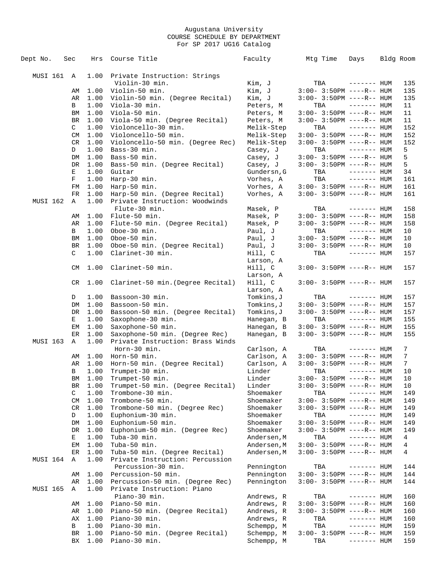| Dept No.        | Sec |              | Hrs          | Course Title                                    | Faculty                  | Mtg Time                           | Days         | Bldg Room       |
|-----------------|-----|--------------|--------------|-------------------------------------------------|--------------------------|------------------------------------|--------------|-----------------|
|                 |     |              |              |                                                 |                          |                                    |              |                 |
| MUSI 161 A      |     |              | 1.00         | Private Instruction: Strings                    |                          |                                    |              |                 |
|                 |     |              |              | Violin-30 min.                                  | Kim, J                   | TBA                                | $------$ HUM | 135             |
|                 |     | AΜ           | 1.00         | Violin-50 min.                                  | Kim, J                   | $3:00 - 3:50PM$ ----R-- HUM        |              | 135             |
|                 |     | AR           | 1.00         | Violin-50 min. (Degree Recital)                 | Kim, J                   | $3:00-3:50PM$ ----R-- HUM          |              | 135             |
|                 |     | В            | 1.00         | Viola-30 min.                                   | Peters, M                | TBA                                | $------$ HUM | 11              |
|                 |     | BM           | 1.00         | Viola-50 min.                                   | Peters, M                | $3:00 - 3:50PM$ ----R-- HUM        |              | 11              |
|                 |     | BR           | 1.00         | Viola-50 min. (Degree Recital)                  | Peters, M                | $3:00-3:50PM$ ----R-- HUM          |              | 11              |
|                 |     | $\mathbf{C}$ | 1.00         | Violoncello-30 min.                             | Melik-Step               | TBA                                | $------$ HUM | 152             |
|                 |     | CM           | 1.00         | Violoncello-50 min.                             | Melik-Step               | $3:00-3:50PM$ ----R-- HUM          |              | 152             |
|                 |     | CR           | 1.00         | Violoncello-50 min. (Degree Rec)                | Melik-Step               | $3:00 - 3:50PM$ ----R-- HUM        |              | 152             |
|                 |     | D            | 1.00         | Bass-30 min.                                    | Casey, J                 | TBA                                | $------$ HUM | 5               |
|                 |     | DM           | 1.00         | Bass-50 min.                                    | Casey, J                 | $3:00-3:50PM$ ----R-- HUM          |              | 5               |
|                 |     | DR           | 1.00         | Bass-50 min. (Degree Recital)                   | Casey, J                 | 3:00- 3:50PM ----R-- HUM           |              | 5               |
|                 |     | Е            | 1.00         | Guitar                                          | Gundersn, G              | TBA                                | $------$ HUM | 34              |
|                 |     | F            | 1.00         | Harp-30 min.                                    | Vorhes, A                | TBA                                | $------$ HUM | 161             |
|                 |     | FM           | 1.00         | Harp-50 min.                                    | Vorhes, A                | $3:00 - 3:50PM$ ----R-- HUM        |              | 161             |
|                 |     | FR           | 1.00         | Harp-50 min. (Degree Recital)                   | Vorhes, A                | $3:00-3:50PM$ ----R-- HUM          |              | 161             |
| MUSI 162        |     | Α            | 1.00         | Private Instruction: Woodwinds                  |                          |                                    |              |                 |
|                 |     |              |              | Flute-30 min.                                   | Masek, P                 | TBA                                | $------$ HUM | 158             |
|                 |     | AΜ           | 1.00         | Flute-50 min.                                   | Masek, P                 | $3:00-3:50PM$ ----R-- HUM          |              | 158             |
|                 |     | AR           | 1.00         | Flute-50 min. (Degree Recital)                  | Masek, P                 | $3:00-3:50PM$ ----R-- HUM          |              | 158             |
|                 |     | В            | 1.00         | Oboe-30 min.                                    | Paul, J                  | TBA                                | $------$ HUM | 10              |
|                 |     | ΒM           | 1.00         | Oboe-50 min.                                    | Paul, J                  | $3:00-3:50PM$ ----R-- HUM          |              | 10              |
|                 |     | BR           | 1.00         | Oboe-50 min. (Degree Recital)                   | Paul, J                  | $3:00 - 3:50PM$ ----R-- HUM        |              | 10              |
|                 |     | C            | 1.00         | Clarinet-30 min.                                | Hill, C                  | TBA                                | $------$ HUM | 157             |
|                 |     | CM           | 1.00         | Clarinet-50 min.                                | Larson, A<br>Hill, C     | $3:00 - 3:50PM$ ----R-- HUM        |              | 157             |
|                 |     |              |              |                                                 | Larson, A                |                                    |              |                 |
|                 |     | CR.          | 1.00         | Clarinet-50 min. (Degree Recital)               | Hill, C                  | $3:00 - 3:50PM$ ----R-- HUM        |              | 157             |
|                 |     |              |              |                                                 | Larson, A                |                                    |              |                 |
|                 |     | D            | 1.00         | Bassoon-30 min.                                 | Tomkins,J                | TBA                                | $------$ HUM | 157             |
|                 |     | DM           | 1.00         | Bassoon-50 min.                                 | Tomkins,J                | $3:00-3:50PM$ ----R-- HUM          |              | 157             |
|                 |     | DR           | 1.00         | Bassoon-50 min. (Degree Recital)                | Tomkins, J               | 3:00- 3:50PM ----R-- HUM           |              | 157             |
|                 |     | Е            | 1.00         | Saxophone-30 min.                               | Hanegan, B               | TBA                                | $------$ HUM | 155             |
|                 |     | EМ           | 1.00         | Saxophone-50 min.                               | Hanegan, B               | $3:00-3:50PM$ ----R-- HUM          |              | 155             |
|                 |     | ER           | 1.00         | Saxophone-50 min. (Degree Rec)                  | Hanegan, B               | $3:00-3:50PM$ ----R-- HUM          |              | 155             |
| <b>MUSI 163</b> |     | A            | 1.00         | Private Instruction: Brass Winds                |                          |                                    |              |                 |
|                 |     |              |              | Horn-30 min.                                    | Carlson, A               | TBA                                | $------$ HUM | 7               |
|                 |     | AΜ           | 1.00         | Horn-50 min.                                    | Carlson, A               | $3:00-3:50PM$ ----R-- HUM          |              | $7\phantom{.0}$ |
|                 |     | AR           | 1.00         | Horn-50 min. (Degree Recital)                   | Carlson, A               | $3:00 - 3:50PM$ ----R-- HUM        |              | $7\phantom{.0}$ |
|                 |     | В            | 1.00         | Trumpet-30 min.                                 | Linder                   | TBA                                | $------$ HUM | 10              |
|                 |     | BM           | 1.00         | Trumpet-50 min.                                 | Linder                   | $3:00-3:50PM$ ----R-- HUM          |              | 10              |
|                 |     | BR           | 1.00         | Trumpet-50 min. (Degree Recital)                | Linder                   | $3:00 - 3:50PM$ ----R-- HUM        |              | 10              |
|                 |     | C            | 1.00         | Trombone-30 min.                                | Shoemaker                | TBA                                | ------- HUM  | 149             |
|                 |     | CM           | 1.00         | Trombone-50 min.                                | Shoemaker                | $3:00-3:50PM$ ----R-- HUM          |              | 149             |
|                 |     | CR           | 1.00         | Trombone-50 min. (Degree Rec)                   | Shoemaker                | $3:00-3:50PM$ ----R-- HUM          |              | 149             |
|                 |     | D            | 1.00         | Euphonium-30 min.                               | Shoemaker                | TBA                                | ------- HUM  | 149             |
|                 |     | DM           | 1.00         | Euphonium-50 min.                               | Shoemaker                | $3:00 - 3:50PM$ ----R-- HUM        |              | 149             |
|                 |     | DR           | 1.00         | Euphonium-50 min. (Degree Rec)                  | Shoemaker                | $3:00 - 3:50PM$ ----R-- HUM        |              | 149             |
|                 |     | Е            | 1.00         | Tuba-30 min.                                    | Andersen, M              | TBA                                | ------- HUM  | $\overline{4}$  |
|                 |     | ΕM           | 1.00         | Tuba-50 min.                                    | Andersen, M              | $3:00-3:50PM$ ----R-- HUM          |              | $\overline{4}$  |
|                 |     | ER           | 1.00         | Tuba-50 min. (Degree Recital)                   | Andersen, M              | $3:00-3:50PM$ ----R-- HUM          |              | 4               |
| MUSI 164        |     | Α            | 1.00         | Private Instruction: Percussion                 |                          |                                    |              |                 |
|                 |     |              |              | Percussion-30 min.                              | Pennington               | TBA                                | $------$ HUM | 144             |
|                 |     | AΜ           | 1.00         | Percussion-50 min.                              | Pennington               | $3:00-3:50PM$ ----R-- HUM          |              | 144             |
|                 |     | AR           | 1.00         | Percussion-50 min. (Degree Rec)                 | Pennington               | $3:00 - 3:50PM$ ----R-- HUM        |              | 144             |
| <b>MUSI 165</b> |     | Α            | 1.00         | Private Instruction: Piano                      |                          |                                    |              |                 |
|                 |     |              |              | Piano-30 min.                                   | Andrews, R               | TBA                                | $------$ HUM | 160             |
|                 |     | AΜ           | 1.00         | Piano-50 min.                                   | Andrews, R               | $3:00 - 3:50PM$ ----R-- HUM        |              | 160             |
|                 |     | AR<br>АX     | 1.00<br>1.00 | Piano-50 min. (Degree Recital)<br>Piano-30 min. | Andrews, R<br>Andrews, R | $3:00 - 3:50PM$ ----R-- HUM<br>TBA | $------$ HUM | 160<br>160      |
|                 |     | В            | 1.00         | Piano-30 min.                                   | Schempp, M               | TBA                                | $------$ HUM | 159             |
|                 |     | BR           | 1.00         | Piano-50 min. (Degree Recital)                  | Schempp, M               | $3:00 - 3:50PM$ ----R-- HUM        |              | 159             |
|                 |     | ВX           | 1.00         | Piano-30 min.                                   | Schempp, M               | TBA                                | $------HUM$  | 159             |
|                 |     |              |              |                                                 |                          |                                    |              |                 |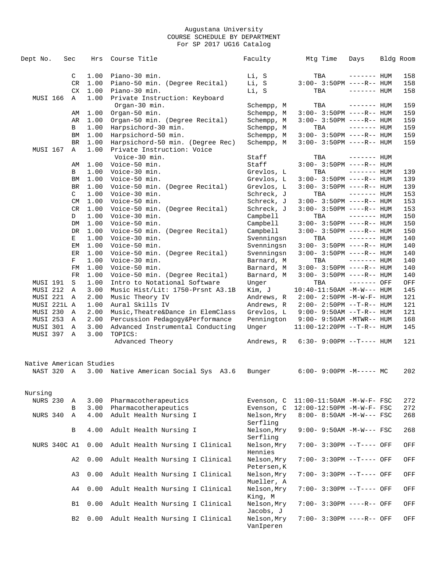| Dept No.                | Sec            | Hrs          | Course Title                                    | Faculty                    | Mtg Time                           | Days         | Bldg Room  |
|-------------------------|----------------|--------------|-------------------------------------------------|----------------------------|------------------------------------|--------------|------------|
|                         |                |              |                                                 |                            |                                    |              |            |
|                         | C              | 1.00         | Piano-30 min.                                   | Li, S                      | TBA                                | $------$ HUM | 158        |
|                         | CR             | 1.00         | Piano-50 min. (Degree Recital)                  | Li, S                      | $3:00-3:50PM$ ----R-- HUM          |              | 158        |
|                         | CX             | 1.00         | Piano-30 min.                                   | Li, S                      | TBA                                | $------$ HUM | 158        |
| MUSI 166                | A              | 1.00         | Private Instruction: Keyboard                   |                            |                                    |              |            |
|                         |                |              | Organ-30 min.                                   | Schempp, M                 | TBA                                | $------$ HUM | 159        |
|                         | AΜ             | 1.00         | Organ-50 min.                                   | Schempp, M                 | $3:00-3:50PM$ ----R-- HUM          |              | 159        |
|                         | AR             | 1.00         | Organ-50 min. (Degree Recital)                  | Schempp, M                 | $3:00-3:50PM$ ----R-- HUM          |              | 159        |
|                         | B              | 1.00         | Harpsichord-30 min.                             | Schempp, M                 | TBA                                | $------$ HUM | 159        |
|                         | ΒM             | 1.00         | Harpsichord-50 min.                             | Schempp, M                 | $3:00-3:50PM$ ----R-- HUM          |              | 159        |
|                         | <b>BR</b>      | 1.00         | Harpsichord-50 min. (Degree Rec)                | Schempp, M                 | $3:00 - 3:50PM$ ----R-- HUM        |              | 159        |
| MUSI 167                | Α              | 1.00         | Private Instruction: Voice                      |                            |                                    |              |            |
|                         |                |              | Voice-30 min.                                   | Staff                      | TBA                                | $------$ HUM |            |
|                         | AΜ             | 1.00         | Voice-50 min.                                   | Staff                      | $3:00 - 3:50PM$ ----R-- HUM        |              |            |
|                         | B              | 1.00         | Voice-30 min.                                   | Grevlos, L                 | TBA                                | $------$ HUM | 139        |
|                         | BM             | 1.00         | Voice-50 min.                                   | Grevlos, L                 | $3:00 - 3:50PM$ ----R-- HUM        |              | 139        |
|                         | <b>BR</b>      | 1.00         | Voice-50 min. (Degree Recital)                  | Grevlos, L                 | $3:00-3:50PM$ ----R-- HUM          |              | 139        |
|                         | $\mathsf{C}^-$ | 1.00         | Voice-30 min.                                   | Schreck, J                 | TBA                                | $------$ HUM | 153        |
|                         | CM             | 1.00         | Voice-50 min.                                   | Schreck, J                 | $3:00 - 3:50PM$ ----R-- HUM        |              | 153        |
|                         | CR             | 1.00         | Voice-50 min. (Degree Recital)                  | Schreck, J                 | $3:00-3:50PM$ ----R-- HUM          |              | 153        |
|                         | D              | 1.00         | Voice-30 min.                                   | Campbell                   | TBA<br>$3:00 - 3:50PM$ ----R-- HUM | $------$ HUM | 150        |
|                         | DM             | 1.00         | Voice-50 min.                                   | Campbell                   |                                    |              | 150        |
|                         | DR             | 1.00         | Voice-50 min. (Degree Recital)<br>Voice-30 min. | Campbell<br>Svenningsn     | $3:00 - 3:50PM$ ----R-- HUM        | $------$ HUM | 150        |
|                         | Е              | 1.00<br>1.00 | Voice-50 min.                                   | Svenningsn                 | TBA<br>$3:00 - 3:50PM$ ----R-- HUM |              | 140        |
|                         | EМ<br>ER       | 1.00         | Voice-50 min. (Degree Recital)                  | Svenningsn                 | $3:00 - 3:50PM$ ----R-- HUM        |              | 140<br>140 |
|                         | F              | 1.00         | Voice-30 min.                                   | Barnard, M                 | TBA                                | $------$ HUM | 140        |
|                         | FM             | 1.00         | Voice-50 min.                                   | Barnard, M                 | $3:00-3:50PM$ ----R-- HUM          |              | 140        |
|                         | FR             | 1.00         | Voice-50 min. (Degree Recital)                  | Barnard, M                 | $3:00 - 3:50PM$ ----R-- HUM        |              | 140        |
| MUSI 191                | S              | 1.00         | Intro to Notational Software                    | Unger                      | TBA                                | ------- OFF  | OFF        |
| MUSI 212                | Α              | 3.00         | Music Hist/Lit: 1750-Prsnt A3.1B                | Kim, J                     | $10:40-11:50AM -M-W---$ HUM        |              | 145        |
| MUSI 221                | Α              | 2.00         | Music Theory IV                                 | Andrews, R                 | $2:00-2:50PM -M-W-F-HUM$           |              | 121        |
| MUSI 221L A             |                | 1.00         | Aural Skills IV                                 | Andrews, R                 | $2:00 - 2:50PM -T-R--HUM$          |              | 121        |
| MUSI 230                | A              | 2.00         | Music, Theatre&Dance in ElemClass               | Grevlos, L                 | $9:00 - 9:50AM -T-R--HUM$          |              | 121        |
| MUSI 253                | Α              | 2.00         | Percussion Pedagogy&Performance                 | Pennington                 | 9:00- 9:50AM -MTWR-- HUM           |              | 168        |
| MUSI 301                | Α              | 3.00         | Advanced Instrumental Conducting                | Unger                      | 11:00-12:20PM --T-R-- HUM          |              | 145        |
| MUSI 397                | $\mathbb A$    | 3.00         | TOPICS:                                         |                            |                                    |              |            |
|                         |                |              | Advanced Theory                                 | Andrews, R                 | $6:30 - 9:00PM -T--- HUM$          |              | 121        |
|                         |                |              |                                                 |                            |                                    |              |            |
|                         |                |              |                                                 |                            |                                    |              |            |
| Native American Studies |                |              |                                                 |                            |                                    |              |            |
| NAST 320 A              |                |              | 3.00 Native American Social Sys A3.6            | Bunger                     | $6:00-9:00PM -M--- - M$            |              | 202        |
|                         |                |              |                                                 |                            |                                    |              |            |
|                         |                |              |                                                 |                            |                                    |              |            |
| Nursing                 |                |              |                                                 |                            |                                    |              |            |
| <b>NURS 230</b>         | Α              | 3.00         | Pharmacotherapeutics                            | Evenson, C                 | $11:00-11:50AM$ -M-W-F- FSC        |              | 272        |
|                         | $\, {\bf B}$   | 3.00         | Pharmacotherapeutics                            | Evenson, C                 | 12:00-12:50PM -M-W-F- FSC          |              | 272        |
| NURS 340                | Α              | 4.00         | Adult Health Nursing I                          | Nelson, Mry                | 8:00- 8:50AM -M-W--- FSC           |              | 268        |
|                         |                |              |                                                 | Serfling                   |                                    |              |            |
|                         | В              | 4.00         | Adult Health Nursing I                          | Nelson, Mry                | 9:00- 9:50AM -M-W--- FSC           |              | 268        |
|                         |                |              |                                                 | Serfling                   |                                    |              |            |
| NURS 340C A1            |                | 0.00         | Adult Health Nursing I Clinical                 | Nelson, Mry                | 7:00- 3:30PM --T---- OFF           |              | OFF        |
|                         |                |              |                                                 | Hennies                    |                                    |              |            |
|                         | A2             | 0.00         | Adult Health Nursing I Clinical                 | Nelson, Mry<br>Petersen, K | 7:00- 3:30PM --T---- OFF           |              | OFF        |
|                         |                |              |                                                 |                            |                                    |              |            |
|                         | A3             | 0.00         | Adult Health Nursing I Clinical                 | Nelson, Mry                | 7:00- 3:30PM --T---- OFF           |              | OFF        |
|                         |                |              |                                                 | Mueller, A                 | 7:00- 3:30PM --T---- OFF           |              |            |
|                         | A4             | 0.00         | Adult Health Nursing I Clinical                 | Nelson, Mry                |                                    |              | OFF        |
|                         | B1             | 0.00         | Adult Health Nursing I Clinical                 | King, M<br>Nelson, Mry     | 7:00- 3:30PM ----R-- OFF           |              |            |
|                         |                |              |                                                 | Jacobs, J                  |                                    |              | OFF        |
|                         | B2             | 0.00         | Adult Health Nursing I Clinical                 | Nelson, Mry                | 7:00- 3:30PM ----R-- OFF           |              | OFF        |
|                         |                |              |                                                 | VanIperen                  |                                    |              |            |
|                         |                |              |                                                 |                            |                                    |              |            |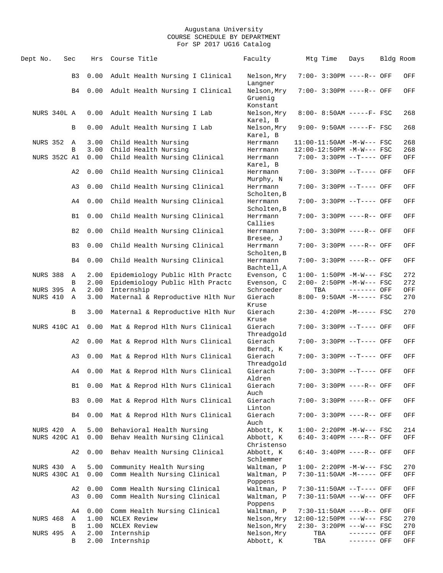| Dept No.                 | Sec |                | Hrs          | Course Title                                               |  | Faculty                            | Mtg Time | Days                                                   | Bldg Room  |
|--------------------------|-----|----------------|--------------|------------------------------------------------------------|--|------------------------------------|----------|--------------------------------------------------------|------------|
|                          |     | B3             | 0.00         | Adult Health Nursing I Clinical                            |  | Nelson, Mry<br>Langner             |          | 7:00- 3:30PM ----R-- OFF                               | OFF        |
|                          |     | B4             | 0.00         | Adult Health Nursing I Clinical                            |  | Nelson, Mry<br>Gruenig<br>Konstant |          | 7:00- 3:30PM ----R-- OFF                               | OFF        |
| NURS 340L A              |     |                | 0.00         | Adult Health Nursing I Lab                                 |  | Nelson, Mry<br>Karel, B            |          | 8:00- 8:50AM -----F- FSC                               | 268        |
|                          |     | В              | 0.00         | Adult Health Nursing I Lab                                 |  | Nelson, Mry<br>Karel, B            |          | $9:00 - 9:50AM$ -----F- FSC                            | 268        |
| <b>NURS 352</b>          | A   |                | 3.00         | Child Health Nursing                                       |  | Herrmann                           |          | $11:00-11:50AM$ -M-W--- FSC                            | 268        |
|                          |     | B              | 3.00         | Child Health Nursing                                       |  | Herrmann                           |          | 12:00-12:50PM -M-W--- FSC                              | 268        |
| NURS 352C A1             |     |                | 0.00         | Child Health Nursing Clinical                              |  | Herrmann<br>Karel, B               |          | 7:00- 3:30PM --T---- OFF                               | OFF        |
|                          |     | A2             | 0.00         | Child Health Nursing Clinical                              |  | Herrmann<br>Murphy, N              |          | 7:00- 3:30PM --T---- OFF                               | OFF        |
|                          |     | A3             | 0.00         | Child Health Nursing Clinical                              |  | Herrmann<br>Scholten, B            |          | 7:00- 3:30PM --T---- OFF                               | OFF        |
|                          |     | A4             | 0.00         | Child Health Nursing Clinical                              |  | Herrmann<br>Scholten, B            |          | 7:00- 3:30PM --T---- OFF                               | OFF        |
|                          |     | B1             | 0.00         | Child Health Nursing Clinical                              |  | Herrmann<br>Callies                |          | 7:00- 3:30PM ----R-- OFF                               | OFF        |
|                          |     | B <sub>2</sub> | 0.00         | Child Health Nursing Clinical                              |  | Herrmann<br>Bresee, J              |          | 7:00- 3:30PM ----R-- OFF                               | OFF        |
|                          |     | B <sub>3</sub> | 0.00         | Child Health Nursing Clinical                              |  | Herrmann<br>Scholten, B            |          | 7:00- 3:30PM ----R-- OFF                               | OFF        |
|                          |     | B4             | 0.00         | Child Health Nursing Clinical                              |  | Herrmann<br>Bachtell, A            |          | 7:00- 3:30PM ----R-- OFF                               | OFF        |
| <b>NURS 388</b>          |     | Α              | 2.00         | Epidemiology Public Hlth Practc                            |  | Evenson, C                         |          | $1:00 - 1:50PM -M-W--- FSC$                            | 272        |
|                          |     | B              | 2.00         | Epidemiology Public Hlth Practc                            |  | Evenson, C                         |          | $2:00-2:50PM -M-W--- FSC$                              | 272        |
| <b>NURS 395</b>          |     | Α              | 2.00         | Internship                                                 |  | Schroeder                          | TBA      | $------$ OFF                                           | OFF        |
| NURS 410                 |     | A              | 3.00         | Maternal & Reproductive Hlth Nur                           |  | Gierach                            |          | 8:00- 9:50AM -M----- FSC                               | 270        |
|                          |     |                |              |                                                            |  | Kruse                              |          |                                                        |            |
|                          |     | B              | 3.00         | Maternal & Reproductive Hlth Nur                           |  | Gierach<br>Kruse                   |          | 2:30- 4:20PM -M----- FSC                               | 270        |
| NURS 410C A1             |     |                | 0.00         | Mat & Reprod Hlth Nurs Clinical                            |  | Gierach<br>Threadgold              |          | 7:00- 3:30PM --T---- OFF                               | OFF        |
|                          |     | A2             | 0.00         | Mat & Reprod Hlth Nurs Clinical                            |  | Gierach<br>Berndt, K               |          | 7:00- 3:30PM --T---- OFF                               | OFF        |
|                          |     | A3             | 0.00         | Mat & Reprod Hlth Nurs Clinical                            |  | Gierach<br>Threadgold              |          | 7:00- 3:30PM --T---- OFF                               | OFF        |
|                          |     | A4             | 0.00         | Mat & Reprod Hlth Nurs Clinical                            |  | Gierach<br>Aldren                  |          | $7:00 - 3:30PM -T--- OFF$                              | OFF        |
|                          |     | B1             | 0.00         | Mat & Reprod Hlth Nurs Clinical                            |  | Gierach<br>Auch                    |          | 7:00- 3:30PM ----R-- OFF                               | OFF        |
|                          |     | B3             | 0.00         | Mat & Reprod Hlth Nurs Clinical                            |  | Gierach<br>Linton                  |          | $7:00 - 3:30PM$ ----R-- OFF                            | OFF        |
|                          |     | B4             | 0.00         | Mat & Reprod Hlth Nurs Clinical                            |  | Gierach<br>Auch                    |          | 7:00- 3:30PM ----R-- OFF                               | OFF        |
| NURS 420<br>NURS 420C A1 |     | Α              | 5.00<br>0.00 | Behavioral Health Nursing<br>Behav Health Nursing Clinical |  | Abbott, K<br>Abbott, K             |          | $1:00-2:20PM -M-W--- FSC$<br>$6:40-3:40PM$ ----R-- OFF | 214<br>OFF |
|                          |     | A2             | 0.00         | Behav Health Nursing Clinical                              |  | Christenso<br>Abbott, K            |          | $6:40-3:40PM$ ----R-- OFF                              | OFF        |
|                          |     |                |              |                                                            |  | Schlemmer                          |          |                                                        |            |
| NURS 430                 |     | Α              | 5.00         | Community Health Nursing                                   |  | Waltman, P                         |          | $1:00-2:20PM -M-W--- FSC$                              | 270        |
| NURS 430C A1             |     |                | 0.00         | Comm Health Nursing Clinical                               |  | Waltman, P<br>Poppens              |          | 7:30-11:50AM -M----- OFF                               | OFF        |
|                          |     | A2             | 0.00         | Comm Health Nursing Clinical                               |  | Waltman, P                         |          | 7:30-11:50AM --T---- OFF                               | OFF        |
|                          |     | A3             | 0.00         | Comm Health Nursing Clinical                               |  | Waltman, P<br>Poppens              |          | 7:30-11:50AM ---W--- OFF                               | OFF        |
|                          |     | A4             | 0.00         | Comm Health Nursing Clinical                               |  | Waltman, P                         |          | 7:30-11:50AM ----R-- OFF                               | OFF        |
| NURS 468                 |     | Α              | 1.00         | NCLEX Review                                               |  | Nelson, Mry                        |          | $12:00-12:50PM$ ---W--- FSC                            | 270        |
|                          |     | В              | 1.00         | NCLEX Review                                               |  | Nelson, Mry                        |          | 2:30- 3:20PM ---W--- FSC                               | 270        |
| <b>NURS 495</b>          |     | Α              | 2.00         | Internship                                                 |  | Nelson, Mry                        | TBA      | ------- OFF                                            | OFF        |
|                          |     | В              | 2.00         | Internship                                                 |  | Abbott, K                          | TBA      | ------- OFF                                            | OFF        |
|                          |     |                |              |                                                            |  |                                    |          |                                                        |            |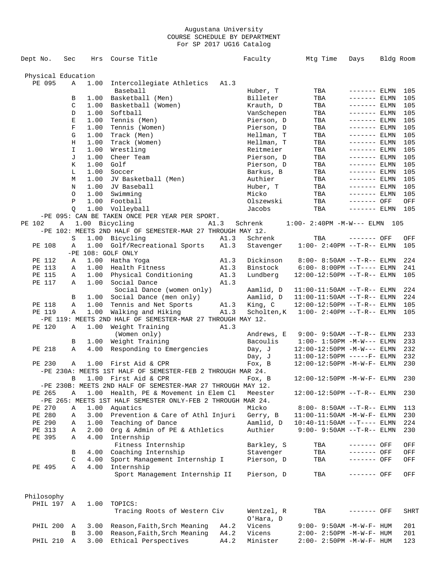| Dept No.           | Sec           | Hrs            | Course Title                                                |      | Faculty    | Mtg Time                         | Days          | Bldg Room |
|--------------------|---------------|----------------|-------------------------------------------------------------|------|------------|----------------------------------|---------------|-----------|
| Physical Education |               |                |                                                             |      |            |                                  |               |           |
| PE 095             | Α             | 1.00           | Intercollegiate Athletics                                   | A1.3 |            |                                  |               |           |
|                    |               |                | Baseball                                                    |      | Huber, T   | TBA                              | ------- ELMN  | 105       |
|                    | B             | 1.00           | Basketball (Men)                                            |      | Billeter   | TBA                              | $------ELMN$  | 105       |
|                    | C             | 1.00           | Basketball (Women)                                          |      | Krauth, D  | TBA                              | $------ELMN$  | 105       |
|                    | D             | 1.00           | Softball                                                    |      | VanSchepen | TBA                              | $------ELMN$  | 105       |
|                    | Е             | 1.00           | Tennis (Men)                                                |      | Pierson, D | TBA                              | $------ELMN$  | 105       |
|                    | F             | 1.00           | Tennis (Women)                                              |      | Pierson, D | TBA                              | ------- ELMN  | 105       |
|                    | G             | 1.00           | Track (Men)                                                 |      | Hellman, T | TBA                              | $------ELMN$  | 105       |
|                    | Η             | 1.00           | Track (Women)                                               |      | Hellman, T | TBA                              | ------- ELMN  | 105       |
|                    | $\mathbbm{I}$ | 1.00           | Wrestling                                                   |      | Reitmeier  | TBA                              | $------$ ELMN | 105       |
|                    | J             | 1.00           | Cheer Team                                                  |      | Pierson, D | TBA                              | $------$ ELMN | 105       |
|                    | К             | 1.00           | Golf                                                        |      | Pierson, D | TBA                              |               | 105       |
|                    |               |                |                                                             |      |            |                                  | ------- ELMN  |           |
|                    | L             | 1.00           | Soccer                                                      |      | Barkus, B  | TBA                              | $------ELMN$  | 105       |
|                    | M             | 1.00           | JV Basketball (Men)                                         |      | Authier    | TBA                              | $------ELMN$  | 105       |
|                    | N             | 1.00           | JV Baseball                                                 |      | Huber, T   | TBA                              | $------$ ELMN | 105       |
|                    | $\circ$       | 1.00           | Swimming                                                    |      | Micko      | TBA                              | $------ELMN$  | 105       |
|                    | P             | 1.00           | Football                                                    |      | Olszewski  | TBA                              | ------- OFF   | OFF       |
|                    | O             | 1.00           | Volleyball                                                  |      | Jacobs     | TBA                              | $------ELMN$  | 105       |
|                    |               |                | -PE 095: CAN BE TAKEN ONCE PER YEAR PER SPORT.              |      |            |                                  |               |           |
| PE 102             | Α             | 1.00 Bicycling |                                                             | A1.3 | Schrenk    | $1:00 - 2:40PM -M-W---$ ELMN 105 |               |           |
|                    |               |                | -PE 102: MEETS 2ND HALF OF SEMESTER-MAR 27 THROUGH MAY 12.  |      |            |                                  |               |           |
|                    | S             | 1.00           | Bicycling                                                   | A1.3 | Schrenk    | TBA                              | ------- OFF   | OFF       |
| PE 108             | Α             | 1.00           | Golf/Recreational Sports                                    | A1.3 | Stavenger  | $1:00-2:40PM -T-R--ELMN$         |               | 105       |
|                    |               |                | -PE 108: GOLF ONLY                                          |      |            |                                  |               |           |
| PE 112             | Α             | 1.00           | Hatha Yoga                                                  | A1.3 | Dickinson  | $8:00 - 8:50AM$ --T-R-- ELMN     |               | 224       |
| PE 113             | Α             |                | 1.00 Health Fitness                                         | A1.3 | Binstock   | $6:00 - 8:00PM -T--- ELMN$       |               | 241       |
| PE 115             | Α             | 1.00           | Physical Conditioning                                       | A1.3 | Lundberg   | $12:00-12:50PM -T-R--ELMN$       |               | 105       |
| PE 117             | Α             | 1.00           | Social Dance                                                | A1.3 |            |                                  |               |           |
|                    |               |                | Social Dance (women only)                                   |      | Aamlid, D  | $11:00-11:50AM$ --T-R-- ELMN     |               | 224       |
|                    | В             |                | 1.00 Social Dance (men only)                                |      | Aamlid, D  | $11:00-11:50AM$ --T-R-- ELMN     |               | 224       |
| PE 118             | Α             | 1.00           | Tennis and Net Sports                                       | A1.3 | King, C    | $12:00-12:50PM -T-R-- ELMN$      |               | 105       |
| PE 119             | Α             | 1.00           | Walking and Hiking                                          | A1.3 | Scholten,K | $1:00 - 2:40PM -T-R-- ELMN$      |               | 105       |
|                    |               |                | -PE 119: MEETS 2ND HALF OF SEMESTER-MAR 27 THROUGH MAY 12.  |      |            |                                  |               |           |
| PE 120             | Α             | 1.00           | Weight Training                                             | A1.3 |            |                                  |               |           |
|                    |               |                | (Women only)                                                |      | Andrews, E | $9:00 - 9:50AM -T-R--ELMN$       |               | 233       |
|                    | В             |                | 1.00 Weight Training                                        |      | Bacoulis   | $1:00 - 1:50PM -M-W---$ ELMN     |               | 233       |
| PE 218             | Α             | 4.00           | Responding to Emergencies                                   |      | Day, J     | $12:00-12:50PM -M-W---$ ELMN     |               | 232       |
|                    |               |                |                                                             |      | Day, J     | $11:00-12:50PM$ -----F- ELMN     |               | 232       |
| PE 230             | Α             |                | 1.00 First Aid & CPR                                        |      | Fox, B     | 12:00-12:50PM -M-W-F- ELMN       |               | 230       |
|                    |               |                | -PE 230A: MEETS 1ST HALF OF SEMESTER-FEB 2 THROUGH MAR 24.  |      |            |                                  |               |           |
|                    | В             |                | 1.00 First Aid & CPR                                        |      | Fox, B     | $12:00-12:50PM -M-W-F- ELMN$     |               | 230       |
|                    |               |                | -PE 230B: MEETS 2ND HALF OF SEMESTER-MAR 27 THROUGH MAY 12. |      |            |                                  |               |           |
|                    |               |                |                                                             |      |            |                                  |               |           |
| PE 265             | Α             |                | 1.00 Health, PE & Movement in Elem Cl                       |      | Meester    | 12:00-12:50PM --T-R-- ELMN       |               | 230       |
|                    |               |                | -PE 265: MEETS 1ST HALF SEMESTER ONLY-FEB 2 THROUGH MAR 24. |      |            |                                  |               |           |
| PE 270             | Α             | 1.00           | Aquatics                                                    |      | Micko      | $8:00 - 8:50AM$ --T-R-- ELMN     |               | 113       |
| PE 280             | Α             | 3.00           | Prevention & Care of Athl Injuri                            |      | Gerry, B   | $11:00-11:50AM - M-W-F- ELMN$    |               | 230       |
| PE 290             | Α             | 1.00           | Teaching of Dance                                           |      | Aamlid, D  | $10:40-11:50AM$ --T---- ELMN     |               | 224       |
| PE 313             | Α             | 2.00           | Org & Admin of PE & Athletics                               |      | Authier    | $9:00 - 9:50AM -T-R--ELMN$       |               | 230       |
| PE 395             | Α             | 4.00           | Internship                                                  |      |            |                                  |               |           |
|                    |               |                | Fitness Internship                                          |      | Barkley, S | TBA                              | ------- OFF   | OFF       |
|                    | В             | 4.00           | Coaching Internship                                         |      | Stavenger  | TBA                              | ------- OFF   | OFF       |
|                    | C             | 4.00           | Sport Management Internship I                               |      | Pierson, D | TBA                              | $-----$ OFF   | OFF       |
| PE 495             | Α             | 4.00           | Internship                                                  |      |            |                                  |               |           |
|                    |               |                | Sport Management Internship II                              |      | Pierson, D | TBA                              | ------- OFF   | OFF       |
| Philosophy         |               |                |                                                             |      |            |                                  |               |           |
| PHIL 197 A         |               | 1.00           | TOPICS:                                                     |      |            |                                  |               |           |
|                    |               |                | Tracing Roots of Western Civ                                |      | Wentzel, R | TBA                              | ------- OFF   | SHRT      |
|                    |               |                |                                                             |      | O'Hara, D  |                                  |               |           |
| PHIL 200           | Α             | 3.00           | Reason, Faith, Srch Meaning                                 | A4.2 | Vicens     | 9:00- 9:50AM -M-W-F- HUM         |               | 201       |
|                    | В             | 3.00           | Reason, Faith, Srch Meaning                                 | A4.2 | Vicens     | 2:00- 2:50PM -M-W-F- HUM         |               | 201       |
| PHIL 210           | Α             |                |                                                             | A4.2 | Minister   |                                  |               |           |
|                    |               | 3.00           | Ethical Perspectives                                        |      |            | 2:00- 2:50PM -M-W-F- HUM         |               | 123       |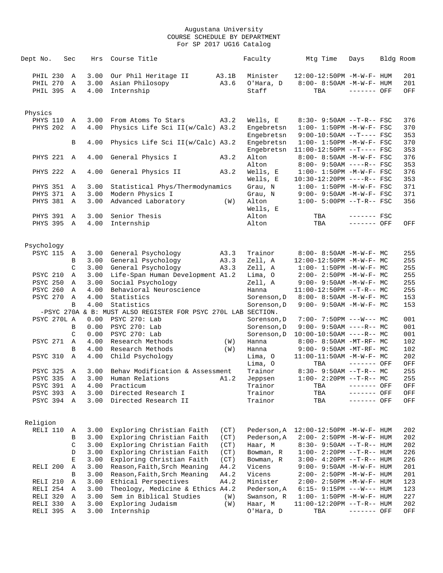| Dept No.                         | Sec                    | Hrs                  | Course Title                                                                   |               | Faculty                        | Mtg Time                                                                | Days                       | Bldg Room         |
|----------------------------------|------------------------|----------------------|--------------------------------------------------------------------------------|---------------|--------------------------------|-------------------------------------------------------------------------|----------------------------|-------------------|
| PHIL 230<br>PHIL 270<br>PHIL 395 | Α<br>Α<br>$\mathbb{A}$ | 3.00<br>3.00<br>4.00 | Our Phil Heritage II<br>Asian Philosopy<br>Internship                          | A3.1B<br>A3.6 | Minister<br>O'Hara, D<br>Staff | $12:00-12:50PM -M-W-F- HUM$<br>$8:00 - 8:50AM - M - W - F - HUM$<br>TBA | $------$ OFF               | 201<br>201<br>OFF |
|                                  |                        |                      |                                                                                |               |                                |                                                                         |                            |                   |
| Physics                          |                        |                      |                                                                                |               |                                |                                                                         |                            |                   |
| PHYS 110                         | Α                      | 3.00                 | From Atoms To Stars                                                            | A3.2          | Wells, E                       | $8:30 - 9:50AM -T-R--FSC$<br>$1:00 - 1:50PM - M - W - F - FSC$          |                            | 376               |
| <b>PHYS 202</b>                  | $\mathbb A$            | 4.00                 | Physics Life Sci II(w/Calc) A3.2                                               |               | Engebretsn<br>Engebretsn       | $9:00-10:50AM$ --T---- FSC                                              |                            | 370<br>353        |
|                                  | B                      | 4.00                 | Physics Life Sci II(w/Calc) A3.2                                               |               | Engebretsn                     | $1:00 - 1:50PM - M - W - F - FSC$                                       |                            | 370               |
| PHYS 221                         | A                      | 4.00                 | General Physics I                                                              | A3.2          | Engebretsn<br>Alton            | $11:00-12:50PM$ --T---- FSC<br>8:00- 8:50AM -M-W-F- FSC                 |                            | 353<br>376        |
|                                  |                        |                      |                                                                                |               | Alton                          | $8:00 - 9:50AM$ ----R-- FSC                                             |                            | 353               |
| <b>PHYS 222</b>                  | $\mathbb{A}$           | 4.00                 | General Physics II                                                             | A3.2          | Wells, E<br>Wells, E           | $1:00 - 1:50PM - M - W - F - FSC$<br>10:30-12:20PM ----R-- FSC          |                            | 376<br>353        |
| <b>PHYS 351</b>                  | Α                      | 3.00                 | Statistical Phys/Thermodynamics                                                |               | Grau, N                        | $1:00 - 1:50PM - M - W - F - FSC$                                       |                            | 371               |
| PHYS 371                         | Α                      | 3.00                 | Modern Physics I                                                               |               | Grau, N                        | $9:00 - 9:50AM - M-W-F - FSC$                                           |                            | 371               |
| <b>PHYS 381</b>                  | Α                      | 3.00                 | Advanced Laboratory                                                            | (W)           | Alton<br>Wells, E              | $1:00 - 5:00PM -T-R--FSC$                                               |                            | 356               |
| <b>PHYS 391</b>                  | A                      | 3.00                 | Senior Thesis                                                                  |               | Alton                          | TBA                                                                     | $------$ FSC               |                   |
| <b>PHYS 395</b>                  | $\mathbb A$            | 4.00                 | Internship                                                                     |               | Alton                          | TBA                                                                     | ------- OFF                | OFF               |
|                                  |                        |                      |                                                                                |               |                                |                                                                         |                            |                   |
| Psychology<br><b>PSYC 115</b>    | Α                      | 3.00                 | General Psychology                                                             | A3.3          | Trainor                        | $8:00 - 8:50AM - M - W - F - MC$                                        |                            | 255               |
|                                  | B                      | 3.00                 | General Psychology                                                             | A3.3          | Zell, A                        | 12:00-12:50PM -M-W-F- MC                                                |                            | 255               |
|                                  | $\mathcal{C}$          | 3.00                 | General Psychology                                                             | A3.3          | Zell, A                        | $1:00 - 1:50PM -M-W-F-MC$                                               |                            | 255               |
| PSYC 210                         | Α                      | 3.00                 | Life-Span Human Development A1.2                                               |               | Lima, O                        | $2:00-2:50PM -M-W-F-MC$                                                 |                            | 255               |
| <b>PSYC 250</b>                  | Α                      | 3.00                 | Social Psychology                                                              |               | Zell, A                        | $9:00 - 9:50AM - M - W - F - MC$                                        |                            | 255               |
| <b>PSYC 260</b>                  | Α                      | 4.00                 | Behavioral Neuroscience                                                        |               | Hanna                          | $11:00-12:50PM$ --T-R-- MC                                              |                            | 255               |
| <b>PSYC 270</b>                  | Α                      | 4.00                 | Statistics                                                                     |               | Sorenson, D                    | 8:00- 8:50AM -M-W-F- MC                                                 |                            | 153               |
|                                  | B                      | 4.00                 | Statistics                                                                     |               | Sorenson, D                    | $9:00 - 9:50AM - M - W - F - MC$                                        |                            | 153               |
| PSYC 270L A                      |                        | 0.00                 | -PSYC 270A & B: MUST ALSO REGISTER FOR PSYC 270L LAB SECTION.<br>PSYC 270: Lab |               | Sorenson, D                    | $7:00 - 7:50PM$ ---W--- MC                                              |                            | 001               |
|                                  | B                      | 0.00                 | PSYC 270: Lab                                                                  |               | Sorenson, D                    | $9:00 - 9:50AM$ ----R-- MC                                              |                            | 001               |
|                                  | C                      | 0.00                 | PSYC 270: Lab                                                                  |               | Sorenson, D                    | $10:00-10:50AM$ ----R-- MC                                              |                            | 001               |
| <b>PSYC 271</b>                  | A                      | 4.00                 | Research Methods                                                               | (W)           | Hanna                          | 8:00- 8:50AM -MT-RF- MC                                                 |                            | 102               |
|                                  | B                      | 4.00                 | Research Methods                                                               | (W)           | Hanna                          | 9:00- 9:50AM -MT-RF- MC                                                 |                            | 102               |
| <b>PSYC 310</b>                  | $\mathbb A$            | 4.00                 | Child Psychology                                                               |               | Lima, O                        | $11:00-11:50AM$ -M-W-F- MC                                              |                            | 202               |
|                                  |                        |                      |                                                                                |               | Lima, 0                        | TBA                                                                     | ------- OFF                | OFF               |
| <b>PSYC 325</b>                  | Α                      | 3.00                 | Behav Modification & Assessment                                                |               | Trainor                        | $8:30 - 9:50AM -T-R--MC$                                                |                            | 255               |
| <b>PSYC 335</b>                  | Α                      | 3.00                 | Human Relations                                                                | A1.2          | Jeppsen                        | $1:00-2:20PM -T-R--MC$                                                  |                            | 255               |
| <b>PSYC 391</b><br>PSYC 393      | A<br>Α                 | 4.00<br>3.00         | Practicum<br>Directed Research I                                               |               | Trainor<br>Trainor             | TBA<br>TBA                                                              | ------- OFF<br>------- OFF | OFF<br>OFF        |
| PSYC 394                         | Α                      | 3.00                 | Directed Research II                                                           |               | Trainor                        | TBA                                                                     | ------- OFF                | OFF               |
|                                  |                        |                      |                                                                                |               |                                |                                                                         |                            |                   |
| Religion                         |                        |                      |                                                                                |               |                                |                                                                         |                            |                   |
| RELI 110                         | Α                      | 3.00                 | Exploring Christian Faith                                                      | (CT)          | Pederson, A                    | 12:00-12:50PM -M-W-F- HUM                                               |                            | 202               |
|                                  | В                      | 3.00                 | Exploring Christian Faith                                                      | (CT)          | Pederson, A                    | 2:00- 2:50PM -M-W-F- HUM                                                |                            | 202               |
|                                  | C                      | 3.00                 | Exploring Christian Faith                                                      | (CT)          | Haar, M                        | 8:30- 9:50AM --T-R-- HUM                                                |                            | 202               |
|                                  | D                      | 3.00                 | Exploring Christian Faith                                                      | (CT)          | Bowman, R                      | $1:00 - 2:20PM -T-R--HUM$                                               |                            | 226               |
|                                  | E                      | 3.00                 | Exploring Christian Faith                                                      | (CT)          | Bowman, R                      | $3:00-4:20PM --T-R--HUM$                                                |                            | 226               |
| RELI 200                         | Α                      | 3.00                 | Reason, Faith, Srch Meaning                                                    | A4.2          | Vicens                         | 9:00- 9:50AM -M-W-F- HUM                                                |                            | 201               |
|                                  | B                      | 3.00                 | Reason, Faith, Srch Meaning                                                    | A4.2          | Vicens                         | 2:00- 2:50PM -M-W-F- HUM                                                |                            | 201               |
| RELI 210                         | Α                      | 3.00                 | Ethical Perspectives                                                           | A4.2          | Minister                       | 2:00- 2:50PM -M-W-F- HUM                                                |                            | 123               |
| RELI 254                         | Α                      | 3.00                 | Theology, Medicine & Ethics A4.2                                               |               | Pederson, A                    | $6:15-9:15PM ---W---HUM$                                                |                            | 123               |
| RELI 320                         | Α                      | 3.00                 | Sem in Biblical Studies                                                        | (W)           | Swanson, R                     | 1:00- 1:50PM -M-W-F- HUM                                                |                            | 227               |
| RELI 330<br>RELI 395             | Α<br>Α                 | 3.00<br>3.00         | Exploring Judaism<br>Internship                                                | (W)           | Haar, M<br>O'Hara, D           | 11:00-12:20PM --T-R-- HUM<br>TBA                                        | ------- OFF                | 202<br>OFF        |
|                                  |                        |                      |                                                                                |               |                                |                                                                         |                            |                   |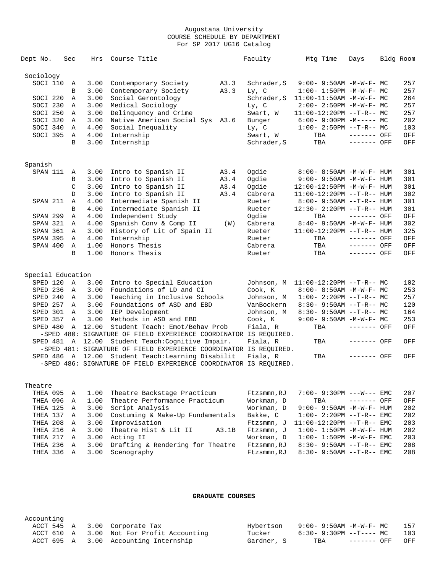| Dept No.          | Sec      | Hrs              | Course Title                                                      |       | Faculty     | Mtg Time                          | Days         | Bldg Room |
|-------------------|----------|------------------|-------------------------------------------------------------------|-------|-------------|-----------------------------------|--------------|-----------|
|                   |          |                  |                                                                   |       |             |                                   |              |           |
| Sociology         |          |                  |                                                                   |       |             |                                   |              |           |
| SOCI 110          | Α        | 3.00             | Contemporary Society                                              | A3.3  | Schrader, S | 9:00- 9:50AM -M-W-F- MC           |              | 257       |
|                   | В        | 3.00             | Contemporary Society                                              | A3.3  | Ly, C       | $1:00-1:50PM -M-W-F-MC$           |              | 257       |
| SOCI 220          | Α        | 3.00             | Social Gerontology                                                |       | Schrader, S | $11:00-11:50AM$ -M-W-F- MC        |              | 264       |
| SOCI 230          | Α        | 3.00             | Medical Sociology                                                 |       | Ly, C       | $2:00 - 2:50PM -M-W-F - MC$       |              | 257       |
| SOCI 250          | Α        | 3.00             | Delinquency and Crime                                             |       | Swart, W    | $11:00-12:20PM$ --T-R-- MC        |              | 257       |
| SOCI 320          | Α        | 3.00             | Native American Social Sys A3.6                                   |       | Bunger      | $6:00-9:00PM -M--- MC$            |              | 202       |
| SOCI 340          | Α        | 4.00             | Social Inequality                                                 |       | Ly, C       | $1:00-2:50PM$ --T-R-- MC          |              | 103       |
| SOCI 395          | Α        | 4.00             | Internship                                                        |       | Swart, W    | TBA                               | ------- OFF  | OFF       |
|                   | B        | 3.00             | Internship                                                        |       | Schrader, S | TBA                               | ------- OFF  | OFF       |
|                   |          |                  |                                                                   |       |             |                                   |              |           |
| Spanish           |          |                  |                                                                   |       |             |                                   |              |           |
| SPAN 111          | A        | 3.00             | Intro to Spanish II                                               | A3.4  | Oqdie       | 8:00- 8:50AM -M-W-F- HUM          |              | 301       |
|                   | В        | 3.00             | Intro to Spanish II                                               | A3.4  | Ogdie       | $9:00 - 9:50AM - M - W - F - HUM$ |              | 301       |
|                   | C        | 3.00             | Intro to Spanish II                                               | A3.4  | Ogdie       | 12:00-12:50PM -M-W-F- HUM         |              | 301       |
|                   | D        | 3.00             | Intro to Spanish II                                               | A3.4  | Cabrera     | $11:00-12:20PM -T-R--HUM$         |              | 302       |
| SPAN 211          | Α        | 4.00             | Intermediate Spanish II                                           |       | Rueter      | $8:00 - 9:50AM -T-R-- HUM$        |              | 301       |
|                   | B        | 4.00             | Intermediate Spanish II                                           |       | Rueter      | 12:30- 2:20PM --T-R-- HUM         |              | 301       |
| SPAN 299          | Α        | 4.00             | Independent Study                                                 |       | Ogdie       | TBA                               | $------$ OFF | OFF       |
| SPAN 321          | A        | 4.00             | Spanish Conv & Comp II                                            | (W)   | Cabrera     | $8:40 - 9:50AM - M - W - F - HUM$ |              | 302       |
| SPAN 361          | A        | 3.00             | History of Lit of Spain II                                        |       | Rueter      | 11:00-12:20PM --T-R-- HUM         |              | 325       |
| SPAN 395          | Α        | 4.00             | Internship                                                        |       | Rueter      | TBA                               | ------- OFF  | OFF       |
| SPAN 400          | Α        | 1.00             | Honors Thesis                                                     |       | Cabrera     | TBA                               | ------- OFF  | OFF       |
|                   | B        | 1.00             | Honors Thesis                                                     |       | Rueter      | TBA                               | ------- OFF  | OFF       |
|                   |          |                  |                                                                   |       |             |                                   |              |           |
| Special Education |          |                  |                                                                   |       |             |                                   |              |           |
| SPED 120          | Α        | 3.00             | Intro to Special Education                                        |       | Johnson, M  | $11:00-12:20PM$ --T-R-- MC        |              | 102       |
| SPED 236          | A        | 3.00             | Foundations of LD and CI                                          |       | Cook, K     | $8:00-8:50AM$ -M-W-F- MC          |              | 253       |
| SPED 240          | A        | 3.00             | Teaching in Inclusive Schools                                     |       | Johnson, M  | $1:00-2:20PM -T-R--MC$            |              | 257       |
| SPED 257          | $\Delta$ | 3.00             | Foundations of ASD and EBD                                        |       | VanBockern  | $8:30-9:50AM --T-R--MC$           |              | 120       |
| SPED 301          | A        | 3.00             | IEP Development                                                   |       | Johnson, M  | $8:30 - 9:50AM -T-R-- MC$         |              | 164       |
| SPED 357          | Α        | 3.00             | Methods in ASD and EBD                                            |       | Cook, K     | $9:00 - 9:50AM - M - W - F - MC$  |              | 253       |
| SPED 480          | Α        | 12.00            | Student Teach: Emot/Behav Prob                                    |       | Fiala, R    | TBA                               | ------- OFF  | OFF       |
|                   |          |                  | -SPED 480: SIGNATURE OF FIELD EXPERIENCE COORDINATOR IS REQUIRED. |       |             |                                   |              |           |
| SPED 481 A        |          |                  | 12.00 Student Teach: Cognitive Impair.                            |       | Fiala, R    | TBA                               | ------- OFF  | OFF       |
|                   |          |                  | -SPED 481: SIGNATURE OF FIELD EXPERIENCE COORDINATOR IS REQUIRED. |       |             |                                   |              |           |
|                   |          | SPED 486 A 12.00 | Student Teach: Learning Disabilit                                 |       | Fiala, R    | TBA                               | ------- OFF  | OFF       |
|                   |          |                  | -SPED 486: SIGNATURE OF FIELD EXPERIENCE COORDINATOR IS REQUIRED. |       |             |                                   |              |           |
| Theatre           |          |                  |                                                                   |       |             |                                   |              |           |
| THEA 095          | Α        | 1.00             | Theatre Backstage Practicum                                       |       | Ftzsmmn, RJ | 7:00- 9:30PM ---W--- EMC          |              | 207       |
| THEA 096          |          | 1.00             | Theatre Performance Practicum                                     |       | Workman, D  |                                   | ------- OFF  |           |
|                   | Α        |                  |                                                                   |       | Workman, D  | TBA                               |              | OFF       |
| THEA 125          | Α        | 3.00             | Script Analysis                                                   |       |             | 9:00- 9:50AM -M-W-F- HUM          |              | 202       |
| THEA 137          | Α        | 3.00             | Costuming & Make-Up Fundamentals                                  |       | Bakke, C    | $1:00-2:20PM -T-R--EMC$           |              | 202       |
| THEA 208          | Α        | 3.00             | Improvisation                                                     |       | Ftzsmmn, J  | $11:00-12:20PM -T-R--EMC$         |              | 203       |
| THEA 216          | Α        | 3.00             | Theatre Hist & Lit II                                             | A3.1B | Ftzsmmn, J  | $1:00 - 1:50PM - M - W - F - HUM$ |              | 202       |
| THEA 217          | Α        | 3.00             | Acting II                                                         |       | Workman, D  | $1:00 - 1:50PM - M - W - F - EMC$ |              | 203       |

#### **GRADUATE COURSES**

 THEA 236 A 3.00 Drafting & Rendering for Theatre Ftzsmmn,RJ 8:30- 9:50AM --T-R-- EMC 208 THEA 336 A 3.00 Scenography Ftzsmmn,RJ 8:30- 9:50AM --T-R-- EMC 208

### Accounting ACCT 545 A 3.00 Corporate Tax Hybertson 9:00- 9:50AM -M-W-F- MC 157 ACCT 610 A 3.00 Not For Profit Accounting Tucker 6:30- 9:30PM --T---- MC 103 ACCT 695 A 3.00 Accounting Internship Gardner, S TBA ------- OFF OFF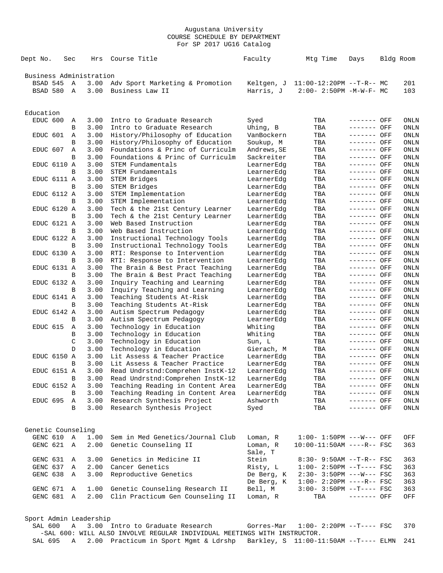| Dept No.                | Sec |              | Hrs          | Course Title                                                                                                | Faculty                  | Mtg Time                              | Days                       | Bldg Room           |
|-------------------------|-----|--------------|--------------|-------------------------------------------------------------------------------------------------------------|--------------------------|---------------------------------------|----------------------------|---------------------|
| Business Administration |     |              |              |                                                                                                             |                          |                                       |                            |                     |
| BSAD 545                |     | Α            | 3.00         | Adv Sport Marketing & Promotion                                                                             |                          | Keltgen, J 11:00-12:20PM --T-R-- MC   |                            | 201                 |
| BSAD 580                |     | Α            | 3.00         | Business Law II                                                                                             | Harris, J                | $2:00 - 2:50PM -M-W-F - MC$           |                            | 103                 |
|                         |     |              |              |                                                                                                             |                          |                                       |                            |                     |
| Education               |     |              |              |                                                                                                             |                          |                                       |                            |                     |
| EDUC 600                |     | Α            | 3.00         | Intro to Graduate Research                                                                                  | Syed                     | TBA                                   | ------- OFF                | ONLN                |
|                         |     | B            | 3.00         | Intro to Graduate Research                                                                                  | Uhing, B                 | TBA                                   | ------- OFF                | ONLN                |
| EDUC 601                |     | Α            | 3.00         | History/Philosophy of Education                                                                             | VanBockern               | TBA                                   | ------- OFF                | ONLN                |
|                         |     | В            | 3.00<br>3.00 | History/Philosophy of Education                                                                             | Soukup, M                | TBA                                   | ------- OFF                | ONLN                |
| EDUC 607                |     | Α            |              | Foundations & Princ of Curriculm                                                                            | Andrews, SE              | TBA                                   | ------- OFF                | ONLN                |
| EDUC 6110 A             |     | B            | 3.00<br>3.00 | Foundations & Princ of Curriculm<br>STEM Fundamentals                                                       | Sackreiter<br>LearnerEdg | TBA<br>TBA                            | ------- OFF<br>------- OFF | ONLN<br>ONLN        |
|                         |     | B            | 3.00         | STEM Fundamentals                                                                                           | LearnerEdg               | TBA                                   | ------- OFF                | ONLN                |
| EDUC 6111 A             |     |              | 3.00         | STEM Bridges                                                                                                | LearnerEdg               | TBA                                   | ------- OFF                | ONLN                |
|                         |     | В            | 3.00         | STEM Bridges                                                                                                | LearnerEdg               | TBA                                   | ------- OFF                | ONLN                |
| EDUC 6112 A             |     |              | 3.00         | STEM Implementation                                                                                         | LearnerEdg               | TBA                                   | ------- OFF                | ONLN                |
|                         |     | B            | 3.00         | STEM Implementation                                                                                         | LearnerEdg               | TBA                                   | ------- OFF                | ONLN                |
| EDUC 6120 A             |     |              | 3.00         | Tech & the 21st Century Learner                                                                             | LearnerEdg               | TBA                                   | ------- OFF                | ONLN                |
|                         |     | B            | 3.00         | Tech & the 21st Century Learner                                                                             | LearnerEdq               | TBA                                   | $-----$ OFF                | ONLN                |
| EDUC 6121 A             |     |              | 3.00         | Web Based Instruction                                                                                       | LearnerEdg               | TBA                                   | ------- OFF                | ONLN                |
|                         |     | В            | 3.00         | Web Based Instruction                                                                                       | LearnerEdg               | TBA                                   | ------- OFF                | ONLN                |
| EDUC 6122 A             |     |              | 3.00         | Instructional Technology Tools                                                                              | LearnerEdg               | TBA                                   | ------- OFF                | ONLN                |
|                         |     | B            | 3.00         | Instructional Technology Tools                                                                              | LearnerEdg               | TBA                                   | ------- OFF                | ONLN                |
| EDUC 6130 A             |     |              | 3.00         | RTI: Response to Intervention                                                                               | LearnerEdg               | TBA                                   | ------- OFF                | ONLN                |
|                         |     | B            | 3.00         | RTI: Response to Intervention                                                                               | LearnerEdg               | TBA                                   | ------- OFF                | ONLN                |
| EDUC 6131 A             |     |              | 3.00         | The Brain & Best Pract Teaching                                                                             | LearnerEdg               | TBA                                   | ------- OFF                | ONLN                |
|                         |     | B            | 3.00         | The Brain & Best Pract Teaching                                                                             | LearnerEdg               | TBA                                   | ------- OFF                | ONLN                |
| EDUC 6132 A             |     |              | 3.00         | Inquiry Teaching and Learning                                                                               | LearnerEdg               | TBA                                   | ------- OFF                | ONLN                |
|                         |     | B            | 3.00         | Inquiry Teaching and Learning                                                                               | LearnerEdg               | TBA                                   | ------- OFF                | ONLN                |
| EDUC 6141 A             |     |              | 3.00         | Teaching Students At-Risk                                                                                   | LearnerEdg               | TBA                                   | ------- OFF                | <b>ONLN</b>         |
|                         |     | B            | 3.00         | Teaching Students At-Risk                                                                                   | LearnerEdg               | TBA                                   | ------- OFF                | ONLN                |
| EDUC 6142 A             |     |              | 3.00         | Autism Spectrum Pedagogy                                                                                    | LearnerEdg               | TBA                                   | ------- OFF                | ONLN                |
|                         |     | B            | 3.00         | Autism Spectrum Pedagogy                                                                                    | LearnerEdg               | TBA                                   | ------- OFF                | ONLN                |
| EDUC 615                |     | Α            | 3.00         | Technology in Education                                                                                     | Whiting                  | TBA                                   | ------- OFF                | ONLN                |
|                         |     | В            | 3.00         | Technology in Education                                                                                     | Whiting                  | TBA                                   | $------$ OFF               | ONLN                |
|                         |     | C            | 3.00         | Technology in Education                                                                                     | Sun, L                   | TBA                                   | ------- OFF                | ONLN                |
|                         |     | D            | 3.00         | Technology in Education                                                                                     | Gierach, M               | TBA                                   | ------- OFF                | <b>ONLN</b>         |
| EDUC 6150 A             |     |              | 3.00         | Lit Assess & Teacher Practice<br>Lit Assess & Teacher Practice                                              | LearnerEdg               | TBA                                   | ------- OFF                | ONLN                |
| EDUC 6151 A             |     | B            | 3.00<br>3.00 | Read Undrstnd: Comprehen InstK-12                                                                           | LearnerEdg               | TBA<br>TBA                            | ------- OFF<br>------- OFF | ONLN<br><b>ONLN</b> |
|                         |     |              | 3.00         |                                                                                                             | LearnerEdg               |                                       | ------- OFF                |                     |
| EDUC 6152 A             |     | В            | 3.00         | Read Undrstnd: Comprehen InstK-12<br>Teaching Reading in Content Area                                       | LearnerEdg<br>LearnerEdg | TBA<br>TBA                            | ------- OFF                | ONLN<br>ONLN        |
|                         |     | B            |              | 3.00 Teaching Reading in Content Area                                                                       | LearnerEdg               | TBA                                   | ------- OFF                | ONLN                |
| EDUC 695 A              |     |              | 3.00         | Research Synthesis Project                                                                                  | Ashworth                 | TBA                                   | ------- OFF                | ONLN                |
|                         |     | B            | 3.00         | Research Synthesis Project                                                                                  | Syed                     | TBA                                   | ------- OFF                | ONLN                |
|                         |     |              |              |                                                                                                             |                          |                                       |                            |                     |
| Genetic Counseling      |     |              |              |                                                                                                             |                          |                                       |                            |                     |
| GENC 610 A              |     |              | 1.00         | Sem in Med Genetics/Journal Club                                                                            | Loman, R                 | $1:00-1:50PM$ ---W--- OFF             |                            | OFF                 |
| GENC 621 A              |     |              | 2.00         | Genetic Counseling II                                                                                       | Loman, R                 | $10:00-11:50AM$ ----R-- FSC           |                            | 363                 |
| GENC 631                |     | A            | 3.00         | Genetics in Medicine II                                                                                     | Sale, T<br>Stein         | $8:30 - 9:50AM -T-R--FSC$             |                            | 363                 |
| GENC 637                |     | Α            | 2.00         | Cancer Genetics                                                                                             | Risty, L                 | $1:00-2:50PM -T---FSC$                |                            | 363                 |
| GENC 638                |     | A            | 3.00         | Reproductive Genetics                                                                                       | De Berg, K               | $2:30 - 3:50PM$ ---W--- FSC           |                            | 363                 |
|                         |     |              |              |                                                                                                             | De Berg, K               | $1:00-2:20PM$ ----R-- FSC             |                            | 363                 |
| GENC 671                |     | $\mathbb{A}$ |              | 1.00 Genetic Counseling Research II                                                                         | Bell, M                  | $3:00-3:50PM$ --T---- FSC             |                            | 363                 |
| GENC 681 A              |     |              | 2.00         | Clin Practicum Gen Counseling II                                                                            | Loman, R                 | TBA                                   | ------- OFF                | OFF                 |
|                         |     |              |              |                                                                                                             |                          |                                       |                            |                     |
| Sport Admin Leadership  |     |              |              |                                                                                                             |                          |                                       |                            |                     |
| SAL 600                 |     | Α            |              | 3.00 Intro to Graduate Research<br>-SAL 600: WILL ALSO INVOLVE REGULAR INDIVIDUAL MEETINGS WITH INSTRUCTOR. | Gorres-Mar               | $1:00-2:20PM -T---FSC$                |                            | 370                 |
| SAL 695                 |     | A            |              | 2.00 Practicum in Sport Mgmt & Ldrshp                                                                       |                          | Barkley, S 11:00-11:50AM --T---- ELMN |                            | 241                 |
|                         |     |              |              |                                                                                                             |                          |                                       |                            |                     |